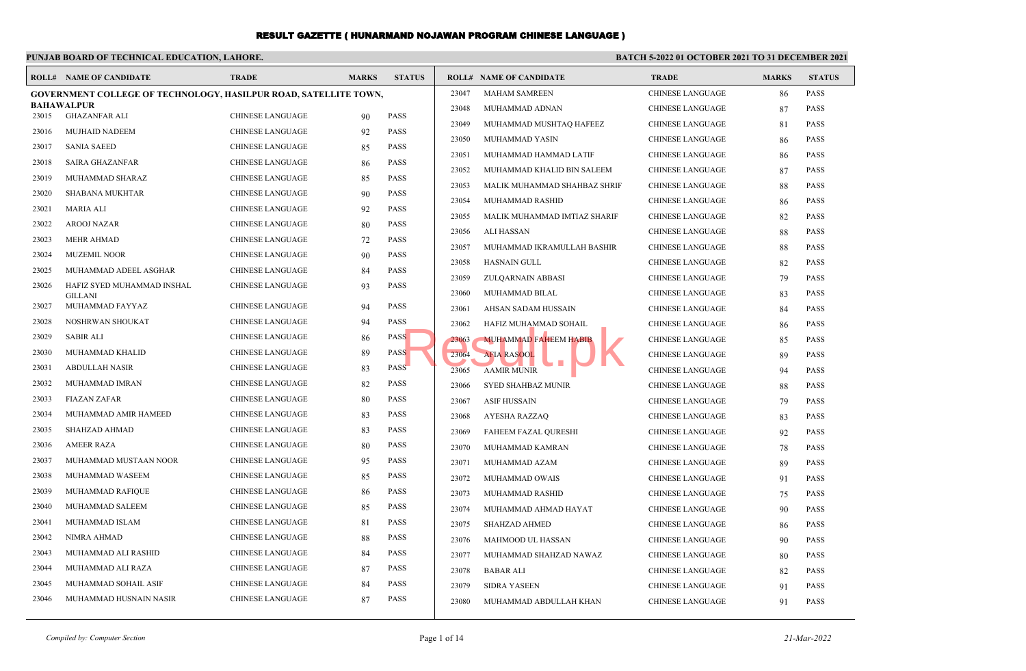# **PUNJAB BOARD OF TECHNICAL EDUCATION, LAHORE.**

### **BATCH 5-2022 01 OCTOBER 2021 TO 31 DECEMBER 2021**

|       | <b>ROLL# NAME OF CANDIDATE</b>                                          | <b>TRADE</b>            | <b>MARKS</b> | <b>STATUS</b> |       | <b>ROLL# NAME OF CANDIDATE</b> | <b>TRADE</b>            | <b>MARKS</b> | <b>STATUS</b> |
|-------|-------------------------------------------------------------------------|-------------------------|--------------|---------------|-------|--------------------------------|-------------------------|--------------|---------------|
|       | <b>GOVERNMENT COLLEGE OF TECHNOLOGY, HASILPUR ROAD, SATELLITE TOWN,</b> |                         |              |               | 23047 | <b>MAHAM SAMREEN</b>           | <b>CHINESE LANGUAGE</b> | 86           | <b>PASS</b>   |
|       | <b>BAHAWALPUR</b>                                                       | <b>CHINESE LANGUAGE</b> |              | <b>PASS</b>   | 23048 | MUHAMMAD ADNAN                 | <b>CHINESE LANGUAGE</b> | 87           | <b>PASS</b>   |
| 23015 | <b>GHAZANFAR ALI</b>                                                    |                         | 90           |               | 23049 | MUHAMMAD MUSHTAQ HAFEEZ        | <b>CHINESE LANGUAGE</b> | 81           | <b>PASS</b>   |
| 23016 | <b>MUJHAID NADEEM</b>                                                   | <b>CHINESE LANGUAGE</b> | 92           | <b>PASS</b>   | 23050 | MUHAMMAD YASIN                 | <b>CHINESE LANGUAGE</b> | 86           | <b>PASS</b>   |
| 23017 | <b>SANIA SAEED</b>                                                      | <b>CHINESE LANGUAGE</b> | 85           | <b>PASS</b>   | 23051 | MUHAMMAD HAMMAD LATIF          | <b>CHINESE LANGUAGE</b> | 86           | <b>PASS</b>   |
| 23018 | <b>SAIRA GHAZANFAR</b>                                                  | <b>CHINESE LANGUAGE</b> | 86           | <b>PASS</b>   | 23052 | MUHAMMAD KHALID BIN SALEEM     | <b>CHINESE LANGUAGE</b> | 87           | <b>PASS</b>   |
| 23019 | MUHAMMAD SHARAZ                                                         | <b>CHINESE LANGUAGE</b> | 85           | PASS          | 23053 | MALIK MUHAMMAD SHAHBAZ SHRIF   | <b>CHINESE LANGUAGE</b> | 88           | <b>PASS</b>   |
| 23020 | <b>SHABANA MUKHTAR</b>                                                  | <b>CHINESE LANGUAGE</b> | 90           | <b>PASS</b>   | 23054 | MUHAMMAD RASHID                | <b>CHINESE LANGUAGE</b> | 86           | <b>PASS</b>   |
| 23021 | <b>MARIA ALI</b>                                                        | <b>CHINESE LANGUAGE</b> | 92           | <b>PASS</b>   | 23055 | MALIK MUHAMMAD IMTIAZ SHARIF   | <b>CHINESE LANGUAGE</b> | 82           | <b>PASS</b>   |
| 23022 | <b>AROOJ NAZAR</b>                                                      | <b>CHINESE LANGUAGE</b> | 80           | <b>PASS</b>   | 23056 | <b>ALI HASSAN</b>              | <b>CHINESE LANGUAGE</b> | 88           | <b>PASS</b>   |
| 23023 | <b>MEHR AHMAD</b>                                                       | <b>CHINESE LANGUAGE</b> | 72           | <b>PASS</b>   | 23057 | MUHAMMAD IKRAMULLAH BASHIR     | <b>CHINESE LANGUAGE</b> | 88           | <b>PASS</b>   |
| 23024 | <b>MUZEMIL NOOR</b>                                                     | <b>CHINESE LANGUAGE</b> | 90           | <b>PASS</b>   | 23058 | <b>HASNAIN GULL</b>            | <b>CHINESE LANGUAGE</b> | 82           | <b>PASS</b>   |
| 23025 | MUHAMMAD ADEEL ASGHAR                                                   | <b>CHINESE LANGUAGE</b> | 84           | <b>PASS</b>   | 23059 | ZULQARNAIN ABBASI              | <b>CHINESE LANGUAGE</b> | 79           | <b>PASS</b>   |
| 23026 | HAFIZ SYED MUHAMMAD INSHAL                                              | <b>CHINESE LANGUAGE</b> | 93           | <b>PASS</b>   | 23060 | MUHAMMAD BILAL                 | <b>CHINESE LANGUAGE</b> | 83           | <b>PASS</b>   |
| 23027 | <b>GILLANI</b><br>MUHAMMAD FAYYAZ                                       | <b>CHINESE LANGUAGE</b> | 94           | <b>PASS</b>   | 23061 | AHSAN SADAM HUSSAIN            | <b>CHINESE LANGUAGE</b> | 84           | <b>PASS</b>   |
| 23028 | NOSHRWAN SHOUKAT                                                        | <b>CHINESE LANGUAGE</b> | 94           | <b>PASS</b>   | 23062 | HAFIZ MUHAMMAD SOHAIL          | <b>CHINESE LANGUAGE</b> | 86           | <b>PASS</b>   |
| 23029 | <b>SABIR ALI</b>                                                        | CHINESE LANGUAGE        | 86           | <b>PASS</b>   | 23063 | <b>MUHAMMAD FAHEEM HABIB</b>   | <b>CHINESE LANGUAGE</b> | 85           | <b>PASS</b>   |
| 23030 | MUHAMMAD KHALID                                                         | <b>CHINESE LANGUAGE</b> | 89           | <b>PASS</b>   | 23064 | <b>AFIA RASOOL</b>             | <b>CHINESE LANGUAGE</b> | 89           | <b>PASS</b>   |
| 23031 | <b>ABDULLAH NASIR</b>                                                   | <b>CHINESE LANGUAGE</b> | 83           | <b>PASS</b>   | 23065 | <b>AAMIR MUNIR</b>             | <b>CHINESE LANGUAGE</b> | 94           | <b>PASS</b>   |
| 23032 | MUHAMMAD IMRAN                                                          | <b>CHINESE LANGUAGE</b> | 82           | PASS          | 23066 | SYED SHAHBAZ MUNIR             | <b>CHINESE LANGUAGE</b> | 88           | <b>PASS</b>   |
| 23033 | <b>FIAZAN ZAFAR</b>                                                     | <b>CHINESE LANGUAGE</b> | 80           | PASS          | 23067 | <b>ASIF HUSSAIN</b>            | <b>CHINESE LANGUAGE</b> | 79           | <b>PASS</b>   |
| 23034 | MUHAMMAD AMIR HAMEED                                                    | <b>CHINESE LANGUAGE</b> | 83           | <b>PASS</b>   | 23068 | <b>AYESHA RAZZAO</b>           | <b>CHINESE LANGUAGE</b> | 83           | <b>PASS</b>   |
| 23035 | <b>SHAHZAD AHMAD</b>                                                    | <b>CHINESE LANGUAGE</b> | 83           | <b>PASS</b>   | 23069 | <b>FAHEEM FAZAL QURESHI</b>    | <b>CHINESE LANGUAGE</b> | 92           | <b>PASS</b>   |
| 23036 | <b>AMEER RAZA</b>                                                       | <b>CHINESE LANGUAGE</b> | 80           | <b>PASS</b>   | 23070 | MUHAMMAD KAMRAN                | <b>CHINESE LANGUAGE</b> | 78           | <b>PASS</b>   |
| 23037 | MUHAMMAD MUSTAAN NOOR                                                   | <b>CHINESE LANGUAGE</b> | 95           | <b>PASS</b>   | 23071 | MUHAMMAD AZAM                  | <b>CHINESE LANGUAGE</b> | 89           | <b>PASS</b>   |
| 23038 | MUHAMMAD WASEEM                                                         | <b>CHINESE LANGUAGE</b> | 85           | PASS          | 23072 | MUHAMMAD OWAIS                 | <b>CHINESE LANGUAGE</b> | -91          | <b>PASS</b>   |
| 23039 | MUHAMMAD RAFIQUE                                                        | <b>CHINESE LANGUAGE</b> | 86           | <b>PASS</b>   | 23073 | MUHAMMAD RASHID                | <b>CHINESE LANGUAGE</b> | 75           | <b>PASS</b>   |
| 23040 | MUHAMMAD SALEEM                                                         | <b>CHINESE LANGUAGE</b> | 85           | <b>PASS</b>   | 23074 | MUHAMMAD AHMAD HAYAT           | <b>CHINESE LANGUAGE</b> | 90           | <b>PASS</b>   |
| 23041 | MUHAMMAD ISLAM                                                          | <b>CHINESE LANGUAGE</b> | 81           | <b>PASS</b>   | 23075 | <b>SHAHZAD AHMED</b>           | <b>CHINESE LANGUAGE</b> | 86           | <b>PASS</b>   |
| 23042 | NIMRA AHMAD                                                             | <b>CHINESE LANGUAGE</b> | 88           | <b>PASS</b>   | 23076 | MAHMOOD UL HASSAN              | <b>CHINESE LANGUAGE</b> | 90           | <b>PASS</b>   |
| 23043 | MUHAMMAD ALI RASHID                                                     | <b>CHINESE LANGUAGE</b> | 84           | <b>PASS</b>   | 23077 | MUHAMMAD SHAHZAD NAWAZ         | <b>CHINESE LANGUAGE</b> | 80           | <b>PASS</b>   |
| 23044 | MUHAMMAD ALI RAZA                                                       | <b>CHINESE LANGUAGE</b> | 87           | <b>PASS</b>   | 23078 | <b>BABAR ALI</b>               | <b>CHINESE LANGUAGE</b> | 82           | <b>PASS</b>   |
| 23045 | MUHAMMAD SOHAIL ASIF                                                    | <b>CHINESE LANGUAGE</b> | 84           | <b>PASS</b>   | 23079 | <b>SIDRA YASEEN</b>            | <b>CHINESE LANGUAGE</b> | 91           | <b>PASS</b>   |
| 23046 | MUHAMMAD HUSNAIN NASIR                                                  | <b>CHINESE LANGUAGE</b> | 87           | <b>PASS</b>   | 23080 | MUHAMMAD ABDULLAH KHAN         | <b>CHINESE LANGUAGE</b> | 91           | <b>PASS</b>   |
|       |                                                                         |                         |              |               |       |                                |                         |              |               |

*Compiled by: Computer Section* Page 1 of 14 *21-Mar-2022*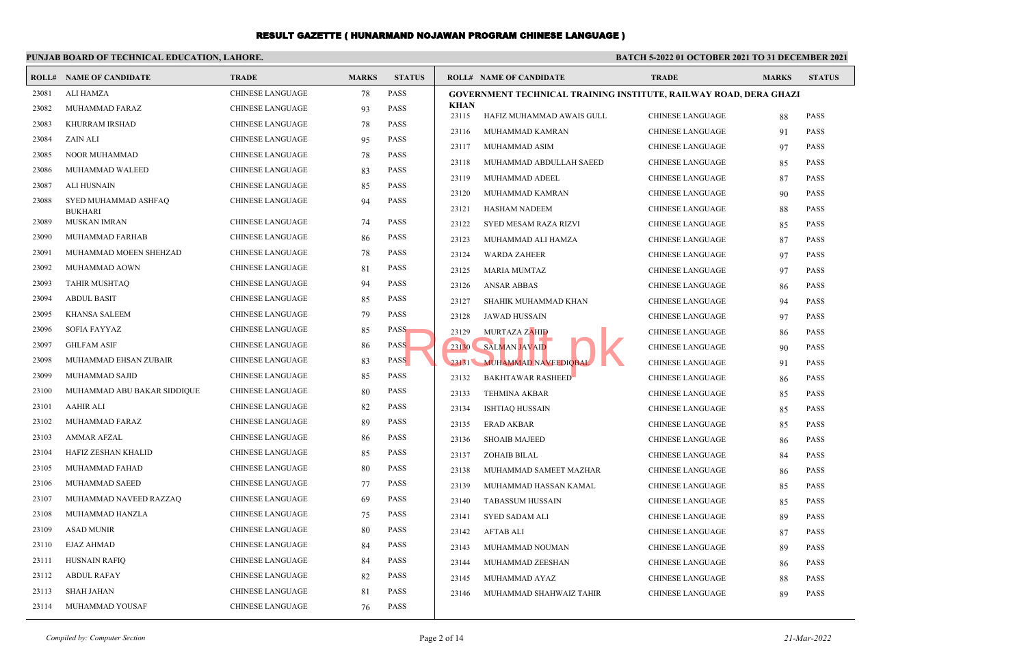#### **PUNJAB BOARD OF TECHNICAL EDUCATION, LAHORE. BATCH 5-2022 01 OCTOBER 2021 TO 31 DECEMBER 2021 ROLL# NAME OF CANDIDATE TRADE MARKS STATUS ROLL# NAME OF CANDIDATE TRADE MARKS STATUS** 23081 ALI HAMZA CHINESE LANGUAGE 78 PASS 23082 MUHAMMAD FARAZ CHINESE LANGUAGE 93 PASS 23083 KHURRAM IRSHAD CHINESE LANGUAGE 78 PASS 23084 ZAIN ALI CHINESE LANGUAGE 95 PASS 23085 NOOR MUHAMMAD CHINESE LANGUAGE 78 PASS 23086 MUHAMMAD WALEED CHINESE LANGUAGE 83 PASS 23087 ALI HUSNAIN CHINESE LANGUAGE 85 PASS SYED MUHAMMAD ASHFAQ CHINESE LANGUAGE 94 PASS BUKHARI 23088 23089 MUSKAN IMRAN CHINESE LANGUAGE 74 PASS 23090 MUHAMMAD FARHAB CHINESE LANGUAGE 86 PASS 23091 MUHAMMAD MOEEN SHEHZAD CHINESE LANGUAGE 78 PASS 23092 MUHAMMAD AOWN CHINESE LANGUAGE 81 PASS 23093 TAHIR MUSHTAQ CHINESE LANGUAGE 94 PASS 23094 ABDUL BASIT CHINESE LANGUAGE 85 PASS 23095 KHANSA SALEEM CHINESE LANGUAGE 79 PASS 23096 SOFIA FAYYAZ CHINESE LANGUAGE 85 PASS 23097 GHLFAM ASIF CHINESE LANGUAGE 86 PASS 23098 MUHAMMAD EHSAN ZUBAIR CHINESE LANGUAGE 83 PASS 23099 MUHAMMAD SAJID CHINESE LANGUAGE 85 PASS 23100 MUHAMMAD ABU BAKAR SIDDIQUE CHINESE LANGUAGE 80 PASS 23101 AAHIR ALI CHINESE LANGUAGE 82 PASS 23102 MUHAMMAD FARAZ CHINESE LANGUAGE 89 PASS 23103 AMMAR AFZAL CHINESE LANGUAGE 86 PASS 23104 HAFIZ ZESHAN KHALID CHINESE LANGUAGE 85 PASS 23105 MUHAMMAD FAHAD **CHINESE LANGUAGE** 80 PASS 23106 MUHAMMAD SAEED CHINESE LANGUAGE 77 PASS 23107 MUHAMMAD NAVEED RAZZAQ CHINESE LANGUAGE 69 PASS 23108 MUHAMMAD HANZLA CHINESE LANGUAGE 75 PASS 23109 ASAD MUNIR CHINESE LANGUAGE 80 PASS 23110 EJAZ AHMAD CHINESE LANGUAGE 84 PASS 23111 HUSNAIN RAFIQ CHINESE LANGUAGE 84 PASS 23112 ABDUL RAFAY CHINESE LANGUAGE 82 PASS 23113 SHAH JAHAN CHINESE LANGUAGE 81 PASS 23114 MUHAMMAD YOUSAF CHINESE LANGUAGE 76 PASS **GOVERNMENT TECHNICAL TRAINING INSTITUTE, RAILWAY ROAD, DERA GHAZI KHAN** 23115 HAFIZ MUHAMMAD AWAIS GULL CHINESE LANGUAGE 88 PASS 23116 MUHAMMAD KAMRAN CHINESE LANGUAGE 91 PASS 23117 MUHAMMAD ASIM CHINESE LANGUAGE 97 PASS 23118 MUHAMMAD ABDULLAH SAEED CHINESE LANGUAGE 85 PASS 23119 MUHAMMAD ADEEL CHINESE LANGUAGE 87 PASS 23120 MUHAMMAD KAMRAN CHINESE LANGUAGE 90 PASS 23121 HASHAM NADEEM CHINESE LANGUAGE 88 PASS 23122 SYED MESAM RAZA RIZVI CHINESE LANGUAGE 85 PASS 23123 MUHAMMAD ALI HAMZA CHINESE LANGUAGE 87 PASS 23124 WARDA ZAHEER CHINESE LANGUAGE 97 PASS 23125 MARIA MUMTAZ CHINESE LANGUAGE 97 PASS 23126 ANSAR ABBAS CHINESE LANGUAGE 86 PASS 23127 SHAHIK MUHAMMAD KHAN CHINESE LANGUAGE 94 PASS 23128 JAWAD HUSSAIN CHINESE LANGUAGE 97 PASS 23129 MURTAZA ZAHID CHINESE LANGUAGE 86 PASS 23130 SALMAN JAVAID CHINESE LANGUAGE 90 PASS 23131 MUHAMMAD NAVEEDIQBAL CHINESE LANGUAGE 91 PASS 23132 BAKHTAWAR RASHEED CHINESE LANGUAGE 86 PASS 23133 TEHMINA AKBAR CHINESE LANGUAGE 85 PASS 23134 ISHTIAQ HUSSAIN CHINESE LANGUAGE 85 PASS 23135 ERAD AKBAR CHINESE LANGUAGE 85 PASS 23136 SHOAIB MAJEED CHINESE LANGUAGE 86 PASS 23137 ZOHAIB BILAL CHINESE LANGUAGE 84 PASS 23138 MUHAMMAD SAMEET MAZHAR CHINESE LANGUAGE 86 PASS 23139 MUHAMMAD HASSAN KAMAL CHINESE LANGUAGE 85 PASS 23140 TABASSUM HUSSAIN CHINESE LANGUAGE 85 PASS 23141 SYED SADAM ALI CHINESE LANGUAGE 89 PASS 23142 AFTAB ALI CHINESE LANGUAGE 87 PASS 23143 MUHAMMAD NOUMAN CHINESE LANGUAGE 89 PASS 23144 MUHAMMAD ZEESHAN CHINESE LANGUAGE 86 PASS 23145 MUHAMMAD AYAZ CHINESE LANGUAGE 88 PASS 23146 MUHAMMAD SHAHWAIZ TAHIR CHINESE LANGUAGE 89 PASS Result.pk

*Compiled by: Computer Section* Page 2 of 14 *21-Mar-2022*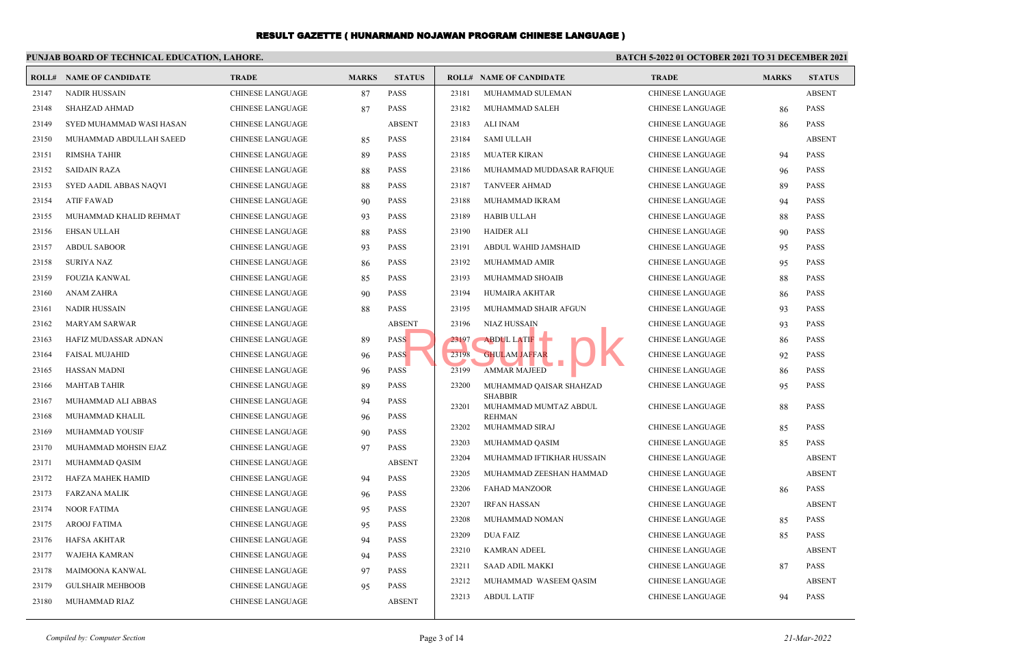#### **PUNJAB BOARD OF TECHNICAL EDUCATION, LAHORE. BATCH 5-2022 01 OCTOBER 2021 TO 31 DECEMBER 2021 ROLL# NAME OF CANDIDATE TRADE MARKS STATUS ROLL# NAME OF CANDIDATE TRADE MARKS STATUS** 23147 NADIR HUSSAIN CHINESE LANGUAGE 87 PASS 23148 SHAHZAD AHMAD CHINESE LANGUAGE 87 PASS 23149 SYED MUHAMMAD WASI HASAN CHINESE LANGUAGE ABSENT 23150 MUHAMMAD ABDULLAH SAEED CHINESE LANGUAGE 85 PASS 23151 RIMSHA TAHIR CHINESE LANGUAGE 89 PASS 23152 SAIDAIN RAZA CHINESE LANGUAGE 88 PASS 23153 SYED AADIL ABBAS NAQVI CHINESE LANGUAGE 88 PASS 23154 ATIF FAWAD CHINESE LANGUAGE 90 PASS 23155 MUHAMMAD KHALID REHMAT CHINESE LANGUAGE 93 PASS 23156 EHSAN ULLAH CHINESE LANGUAGE 88 PASS 23157 ABDUL SABOOR CHINESE LANGUAGE 93 PASS 23158 SURIYA NAZ CHINESE LANGUAGE 86 PASS 23159 FOUZIA KANWAL CHINESE LANGUAGE 85 PASS 23160 ANAM ZAHRA CHINESE LANGUAGE 90 PASS 23161 NADIR HUSSAIN CHINESE LANGUAGE 88 PASS 23162 MARYAM SARWAR CHINESE LANGUAGE ABSENT 23163 HAFIZ MUDASSAR ADNAN CHINESE LANGUAGE 89 PASS 23164 FAISAL MUJAHID CHINESE LANGUAGE 96 PASS 23165 HASSAN MADNI CHINESE LANGUAGE 96 PASS 23166 MAHTAB TAHIR CHINESE LANGUAGE 89 PASS 23167 MUHAMMAD ALI ABBAS CHINESE LANGUAGE 94 PASS 23168 MUHAMMAD KHALIL CHINESE LANGUAGE 96 PASS 23169 MUHAMMAD YOUSIF CHINESE LANGUAGE 90 PASS 23170 MUHAMMAD MOHSIN EJAZ CHINESE LANGUAGE 97 PASS 23171 MUHAMMAD QASIM CHINESE LANGUAGE ABSENT 23172 HAFZA MAHEK HAMID CHINESE LANGUAGE 94 PASS 23173 FARZANA MALIK CHINESE LANGUAGE 96 PASS 23174 NOOR FATIMA CHINESE LANGUAGE 95 PASS 23175 AROOJ FATIMA CHINESE LANGUAGE 95 PASS 23176 HAFSA AKHTAR CHINESE LANGUAGE 94 PASS 23177 WAJEHA KAMRAN CHINESE LANGUAGE 94 PASS 23178 MAIMOONA KANWAL CHINESE LANGUAGE 97 PASS 23179 GULSHAIR MEHBOOB CHINESE LANGUAGE 95 PASS 23180 MUHAMMAD RIAZ CHINESE LANGUAGE ABSENT 23181 MUHAMMAD SULEMAN CHINESE LANGUAGE ABSENT 23182 MUHAMMAD SALEH CHINESE LANGUAGE 86 PASS 23183 ALI INAM CHINESE LANGUAGE 86 PASS 23184 SAMI ULLAH CHINESE LANGUAGE ABSENT 23185 MUATER KIRAN CHINESE LANGUAGE 94 PASS 23186 MUHAMMAD MUDDASAR RAFIQUE CHINESE LANGUAGE 96 PASS 23187 TANVEER AHMAD CHINESE LANGUAGE 89 PASS 23188 MUHAMMAD IKRAM CHINESE LANGUAGE 94 PASS 23189 HABIB ULLAH CHINESE LANGUAGE 88 PASS 23190 HAIDER ALI CHINESE LANGUAGE 90 PASS 23191 ABDUL WAHID JAMSHAID CHINESE LANGUAGE 95 PASS 23192 MUHAMMAD AMIR CHINESE LANGUAGE 95 PASS 23193 MUHAMMAD SHOAIB CHINESE LANGUAGE 88 PASS 23194 HUMAIRA AKHTAR CHINESE LANGUAGE 86 PASS 23195 MUHAMMAD SHAIR AFGUN CHINESE LANGUAGE 93 PASS 23196 NIAZ HUSSAIN LET CHINESE LANGUAGE 93 PASS 23197 ABDUL LATIF CHINESE LANGUAGE 86 PASS 23198 GHULAM JAFFAR CHINESE LANGUAGE 92 PASS 23199 AMMAR MAJEED CHINESE LANGUAGE 86 PASS MUHAMMAD QAISAR SHAHZAD CHINESE LANGUAGE 95 PASS SHABBIR 23200 MUHAMMAD MUMTAZ ABDUL CHINESE LANGUAGE 88 PASS REHMAN 23201 23202 MUHAMMAD SIRAJ CHINESE LANGUAGE 85 PASS 23203 MUHAMMAD QASIM CHINESE LANGUAGE 85 PASS 23204 MUHAMMAD IFTIKHAR HUSSAIN CHINESE LANGUAGE ABSENT 23205 MUHAMMAD ZEESHAN HAMMAD CHINESE LANGUAGE ABSENT 23206 FAHAD MANZOOR CHINESE LANGUAGE 86 PASS 23207 IRFAN HASSAN CHINESE LANGUAGE ABSENT 23208 MUHAMMAD NOMAN CHINESE LANGUAGE 85 PASS 23209 DUA FAIZ CHINESE LANGUAGE 85 PASS 23210 KAMRAN ADEEL CHINESE LANGUAGE ABSENT 23211 SAAD ADIL MAKKI CHINESE LANGUAGE 87 PASS 23212 MUHAMMAD WASEEM QASIM CHINESE LANGUAGE ABSENT 23213 ABDUL LATIF CHINESE LANGUAGE 94 PASS S<br>
S<br>
S<br>
S<br>
S<br>
S<br>
S<br>
S<br>
AMMAR MAJEED<br>
AMMAR MAJEED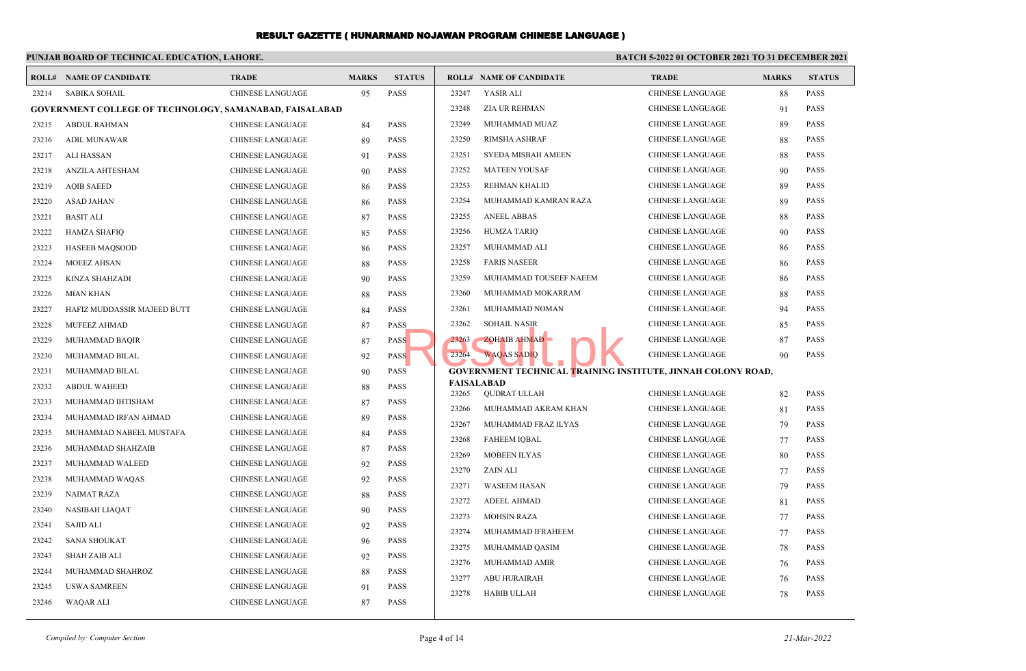# **PUNJAB BOARD OF TECHNICAL EDUCATION, LAHORE.**

## **BATCH 5-2022 01 OCTOBER 2021 TO 31 DECEMBER 2021**

|       | <b>ROLL# NAME OF CANDIDATE</b>                                 | <b>TRADE</b>            | <b>MARKS</b> | <b>STATUS</b> |                            | <b>ROLL# NAME OF CANDIDATE</b>                                      | <b>TRADE</b>            | <b>MARKS</b> | <b>STATUS</b> |
|-------|----------------------------------------------------------------|-------------------------|--------------|---------------|----------------------------|---------------------------------------------------------------------|-------------------------|--------------|---------------|
| 23214 | <b>SABIKA SOHAIL</b>                                           | <b>CHINESE LANGUAGE</b> | 95           | <b>PASS</b>   | 23247                      | YASIR ALI                                                           | <b>CHINESE LANGUAGE</b> | 88           | <b>PASS</b>   |
|       | <b>GOVERNMENT COLLEGE OF TECHNOLOGY, SAMANABAD, FAISALABAD</b> |                         |              |               | 23248                      | ZIA UR REHMAN                                                       | <b>CHINESE LANGUAGE</b> | 91           | <b>PASS</b>   |
| 23215 | <b>ABDUL RAHMAN</b>                                            | <b>CHINESE LANGUAGE</b> | 84           | <b>PASS</b>   | 23249                      | MUHAMMAD MUAZ                                                       | <b>CHINESE LANGUAGE</b> | 89           | <b>PASS</b>   |
| 23216 | <b>ADIL MUNAWAR</b>                                            | <b>CHINESE LANGUAGE</b> | 89           | <b>PASS</b>   | 23250                      | <b>RIMSHA ASHRAF</b>                                                | <b>CHINESE LANGUAGE</b> | 88           | <b>PASS</b>   |
| 23217 | <b>ALI HASSAN</b>                                              | <b>CHINESE LANGUAGE</b> | 91           | <b>PASS</b>   | 23251                      | SYEDA MISBAH AMEEN                                                  | <b>CHINESE LANGUAGE</b> | 88           | PASS          |
| 23218 | ANZILA AHTESHAM                                                | CHINESE LANGUAGE        | 90           | <b>PASS</b>   | 23252                      | <b>MATEEN YOUSAF</b>                                                | <b>CHINESE LANGUAGE</b> | 90           | <b>PASS</b>   |
| 23219 | <b>AQIB SAEED</b>                                              | <b>CHINESE LANGUAGE</b> | 86           | <b>PASS</b>   | 23253                      | REHMAN KHALID                                                       | <b>CHINESE LANGUAGE</b> | 89           | <b>PASS</b>   |
| 23220 | <b>ASAD JAHAN</b>                                              | <b>CHINESE LANGUAGE</b> | 86           | <b>PASS</b>   | 23254                      | MUHAMMAD KAMRAN RAZA                                                | <b>CHINESE LANGUAGE</b> | 89           | <b>PASS</b>   |
| 23221 | <b>BASIT ALI</b>                                               | CHINESE LANGUAGE        | 87           | <b>PASS</b>   | 23255                      | <b>ANEEL ABBAS</b>                                                  | <b>CHINESE LANGUAGE</b> | 88           | <b>PASS</b>   |
| 23222 | <b>HAMZA SHAFIQ</b>                                            | <b>CHINESE LANGUAGE</b> | 85           | <b>PASS</b>   | 23256                      | <b>HUMZA TARIQ</b>                                                  | <b>CHINESE LANGUAGE</b> | 90           | <b>PASS</b>   |
| 23223 | <b>HASEEB MAQSOOD</b>                                          | CHINESE LANGUAGE        | 86           | <b>PASS</b>   | 23257                      | MUHAMMAD ALI                                                        | <b>CHINESE LANGUAGE</b> | 86           | <b>PASS</b>   |
| 23224 | <b>MOEEZ AHSAN</b>                                             | <b>CHINESE LANGUAGE</b> | 88           | <b>PASS</b>   | 23258                      | <b>FARIS NASEER</b>                                                 | <b>CHINESE LANGUAGE</b> | 86           | <b>PASS</b>   |
| 23225 | <b>KINZA SHAHZADI</b>                                          | CHINESE LANGUAGE        | 90           | <b>PASS</b>   | 23259                      | MUHAMMAD TOUSEEF NAEEM                                              | <b>CHINESE LANGUAGE</b> | 86           | <b>PASS</b>   |
| 23226 | <b>MIAN KHAN</b>                                               | CHINESE LANGUAGE        | 88           | <b>PASS</b>   | 23260                      | MUHAMMAD MOKARRAM                                                   | <b>CHINESE LANGUAGE</b> | 88           | <b>PASS</b>   |
| 23227 | HAFIZ MUDDASSIR MAJEED BUTT                                    | CHINESE LANGUAGE        | 84           | <b>PASS</b>   | 23261                      | MUHAMMAD NOMAN                                                      | <b>CHINESE LANGUAGE</b> | 94           | <b>PASS</b>   |
| 23228 | MUFEEZ AHMAD                                                   | <b>CHINESE LANGUAGE</b> | 87           | <b>PASS</b>   | 23262                      | <b>SOHAIL NASIR</b>                                                 | <b>CHINESE LANGUAGE</b> | 85           | <b>PASS</b>   |
| 23229 | MUHAMMAD BAQIR                                                 | <b>CHINESE LANGUAGE</b> | 87           | <b>PASS</b>   | 23263                      | ZOHAIB AHMAD                                                        | <b>CHINESE LANGUAGE</b> | 87           | <b>PASS</b>   |
| 23230 | MUHAMMAD BILAL                                                 | <b>CHINESE LANGUAGE</b> | 92           | <b>PASS</b>   | 23264                      | <b>WAQAS SADIO</b>                                                  | <b>CHINESE LANGUAGE</b> | 90           | <b>PASS</b>   |
| 23231 | MUHAMMAD BILAL                                                 | CHINESE LANGUAGE        | 90           | <b>PASS</b>   |                            | <b>GOVERNMENT TECHNICAL TRAINING INSTITUTE, JINNAH COLONY ROAD,</b> |                         |              |               |
| 23232 | <b>ABDUL WAHEED</b>                                            | <b>CHINESE LANGUAGE</b> | 88           | <b>PASS</b>   | <b>FAISALABAD</b><br>23265 | <b>OUDRAT ULLAH</b>                                                 | <b>CHINESE LANGUAGE</b> | 82           | <b>PASS</b>   |
| 23233 | MUHAMMAD IHTISHAM                                              | CHINESE LANGUAGE        | 87           | <b>PASS</b>   | 23266                      | MUHAMMAD AKRAM KHAN                                                 | <b>CHINESE LANGUAGE</b> | 81           | <b>PASS</b>   |
| 23234 | MUHAMMAD IRFAN AHMAD                                           | CHINESE LANGUAGE        | 89           | <b>PASS</b>   | 23267                      | MUHAMMAD FRAZ ILYAS                                                 | <b>CHINESE LANGUAGE</b> | 79           | <b>PASS</b>   |
| 23235 | MUHAMMAD NABEEL MUSTAFA                                        | <b>CHINESE LANGUAGE</b> | 84           | <b>PASS</b>   | 23268                      | <b>FAHEEM IQBAL</b>                                                 | <b>CHINESE LANGUAGE</b> | 77           | <b>PASS</b>   |
| 23236 | MUHAMMAD SHAHZAIB                                              | <b>CHINESE LANGUAGE</b> | 87           | <b>PASS</b>   | 23269                      | <b>MOBEEN ILYAS</b>                                                 | <b>CHINESE LANGUAGE</b> | 80           | <b>PASS</b>   |
| 23237 | MUHAMMAD WALEED                                                | CHINESE LANGUAGE        | 92           | <b>PASS</b>   | 23270                      | ZAIN ALI                                                            | CHINESE LANGUAGE        | 77           | PASS          |
| 23238 | MUHAMMAD WAQAS                                                 | CHINESE LANGUAGE        | 92           | <b>PASS</b>   | 23271                      | <b>WASEEM HASAN</b>                                                 | <b>CHINESE LANGUAGE</b> | 79           | <b>PASS</b>   |
| 23239 | <b>NAIMAT RAZA</b>                                             | <b>CHINESE LANGUAGE</b> | 88           | <b>PASS</b>   | 23272                      | <b>ADEEL AHMAD</b>                                                  | <b>CHINESE LANGUAGE</b> | 81           | <b>PASS</b>   |
| 23240 | <b>NASIBAH LIAOAT</b>                                          | <b>CHINESE LANGUAGE</b> | 90           | <b>PASS</b>   | 23273                      | <b>MOHSIN RAZA</b>                                                  | <b>CHINESE LANGUAGE</b> | 77           | <b>PASS</b>   |
| 23241 | <b>SAJID ALI</b>                                               | <b>CHINESE LANGUAGE</b> | 92           | <b>PASS</b>   | 23274                      | MUHAMMAD IFRAHEEM                                                   | <b>CHINESE LANGUAGE</b> | 77           | <b>PASS</b>   |
| 23242 | <b>SANA SHOUKAT</b>                                            | <b>CHINESE LANGUAGE</b> | 96           | <b>PASS</b>   | 23275                      | MUHAMMAD QASIM                                                      | <b>CHINESE LANGUAGE</b> | 78           | <b>PASS</b>   |
| 23243 | <b>SHAH ZAIB ALI</b>                                           | CHINESE LANGUAGE        | 92           | <b>PASS</b>   | 23276                      | MUHAMMAD AMIR                                                       | <b>CHINESE LANGUAGE</b> |              | <b>PASS</b>   |
| 23244 | MUHAMMAD SHAHROZ                                               | CHINESE LANGUAGE        | 88           | <b>PASS</b>   | 23277                      | <b>ABU HURAIRAH</b>                                                 | <b>CHINESE LANGUAGE</b> | 76           | <b>PASS</b>   |
| 23245 | <b>USWA SAMREEN</b>                                            | <b>CHINESE LANGUAGE</b> | 91           | <b>PASS</b>   | 23278                      | <b>HABIB ULLAH</b>                                                  | <b>CHINESE LANGUAGE</b> | 76<br>78     | <b>PASS</b>   |
| 23246 | <b>WAQAR ALI</b>                                               | <b>CHINESE LANGUAGE</b> | 87           | <b>PASS</b>   |                            |                                                                     |                         |              |               |
|       |                                                                |                         |              |               |                            |                                                                     |                         |              |               |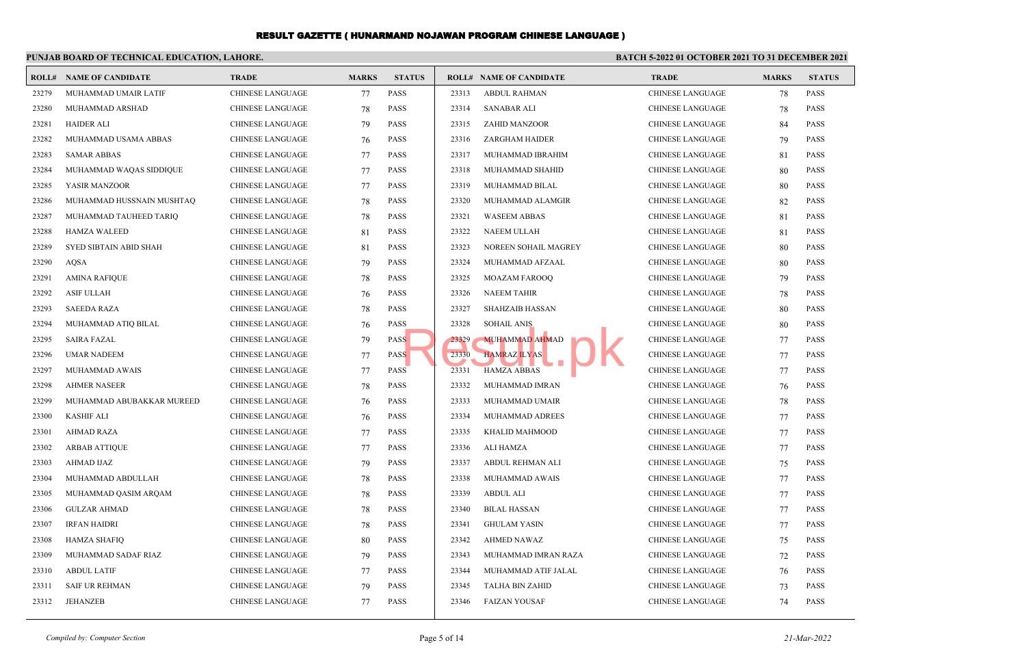#### **PUNJAB BOARD OF TECHNICAL EDUCATION, LAHORE. BATCH 5-2022 01 OCTOBER 2021 TO 31 DECEMBER 2021 ROLL# NAME OF CANDIDATE TRADE MARKS STATUS ROLL# NAME OF CANDIDATE TRADE MARKS STATUS** 23279 MUHAMMAD UMAIR LATIF CHINESE LANGUAGE 77 PASS 23280 MUHAMMAD ARSHAD CHINESE LANGUAGE 78 PASS 23281 HAIDER ALI CHINESE LANGUAGE 79 PASS 23282 MUHAMMAD USAMA ABBAS CHINESE LANGUAGE 76 PASS 23283 SAMAR ABBAS CHINESE LANGUAGE 77 PASS 23284 MUHAMMAD WAQAS SIDDIQUE CHINESE LANGUAGE 77 PASS 23285 YASIR MANZOOR CHINESE LANGUAGE 77 PASS 23286 MUHAMMAD HUSSNAIN MUSHTAQ CHINESE LANGUAGE 78 PASS 23287 MUHAMMAD TAUHEED TARIQ CHINESE LANGUAGE 78 PASS 23288 HAMZA WALEED CHINESE LANGUAGE 81 PASS 23289 SYED SIBTAIN ABID SHAH CHINESE LANGUAGE 81 PASS 23290 AQSA CHINESE LANGUAGE 79 PASS 23291 AMINA RAFIQUE CHINESE LANGUAGE 78 PASS 23292 ASIF ULLAH CHINESE LANGUAGE 76 PASS 23293 SAEEDA RAZA CHINESE LANGUAGE 78 PASS 23294 MUHAMMAD ATIQ BILAL CHINESE LANGUAGE 76 PASS 23295 SAIRA FAZAL CHINESE LANGUAGE 79 PASS 23296 UMAR NADEEM CHINESE LANGUAGE 77 PASS 23297 MUHAMMAD AWAIS CHINESE LANGUAGE 77 PASS 23298 AHMER NASEER CHINESE LANGUAGE 78 PASS 23299 MUHAMMAD ABUBAKKAR MUREED CHINESE LANGUAGE 76 PASS 23300 KASHIF ALI CHINESE LANGUAGE 76 PASS 23301 AHMAD RAZA CHINESE LANGUAGE 77 PASS 23302 ARBAB ATTIQUE CHINESE LANGUAGE 77 PASS 23303 AHMAD IJAZ CHINESE LANGUAGE 79 PASS 23304 MUHAMMAD ABDULLAH CHINESE LANGUAGE 78 PASS 23305 MUHAMMAD QASIM ARQAM CHINESE LANGUAGE 78 PASS 23306 GULZAR AHMAD CHINESE LANGUAGE 78 PASS 23307 IRFAN HAIDRI CHINESE LANGUAGE 78 PASS 23308 HAMZA SHAFIQ CHINESE LANGUAGE 80 PASS 23309 MUHAMMAD SADAF RIAZ CHINESE LANGUAGE 79 PASS 23310 ABDUL LATIF CHINESE LANGUAGE 77 PASS 23311 SAIF UR REHMAN CHINESE LANGUAGE 79 PASS 23312 JEHANZEB CHINESE LANGUAGE 77 PASS 23313 ABDUL RAHMAN CHINESE LANGUAGE 78 PASS 23314 SANABAR ALI CHINESE LANGUAGE 78 PASS 23315 ZAHID MANZOOR CHINESE LANGUAGE 84 PASS 23316 ZARGHAM HAIDER CHINESE LANGUAGE 79 PASS 23317 MUHAMMAD IBRAHIM CHINESE LANGUAGE 81 PASS 23318 MUHAMMAD SHAHID CHINESE LANGUAGE 80 PASS 23319 MUHAMMAD BILAL CHINESE LANGUAGE 80 PASS 23320 MUHAMMAD ALAMGIR CHINESE LANGUAGE 82 PASS 23321 WASEEM ABBAS CHINESE LANGUAGE 81 PASS 23322 NAEEM ULLAH CHINESE LANGUAGE 81 PASS 23323 NOREEN SOHAIL MAGREY CHINESE LANGUAGE 80 PASS 23324 MUHAMMAD AFZAAL CHINESE LANGUAGE 80 PASS 23325 MOAZAM FAROOQ CHINESE LANGUAGE 79 PASS 23326 NAEEM TAHIR CHINESE LANGUAGE 78 PASS 23327 SHAHZAIB HASSAN CHINESE LANGUAGE 80 PASS 23328 SOHAIL ANIS CHINESE LANGUAGE 80 PASS 23329 MUHAMMAD AHMAD CHINESE LANGUAGE 77 PASS 23330 HAMRAZ ILYAS CHINESE LANGUAGE 77 PASS 23331 HAMZA ABBAS CHINESE LANGUAGE 77 PASS 23332 MUHAMMAD IMRAN CHINESE LANGUAGE 76 PASS 23333 MUHAMMAD UMAIR CHINESE LANGUAGE 78 PASS 23334 MUHAMMAD ADREES CHINESE LANGUAGE 77 PASS 23335 KHALID MAHMOOD CHINESE LANGUAGE 77 PASS 23336 ALI HAMZA CHINESE LANGUAGE 77 PASS 23337 ABDUL REHMAN ALI CHINESE LANGUAGE 75 PASS 23338 MUHAMMAD AWAIS CHINESE LANGUAGE 77 PASS 23339 ABDUL ALI CHINESE LANGUAGE 77 PASS 23340 BILAL HASSAN CHINESE LANGUAGE 77 PASS 23341 GHULAM YASIN CHINESE LANGUAGE 77 PASS 23342 AHMED NAWAZ CHINESE LANGUAGE 75 PASS 23343 MUHAMMAD IMRAN RAZA CHINESE LANGUAGE 72 PASS 23344 MUHAMMAD ATIF JALAL CHINESE LANGUAGE 76 PASS 23345 TALHA BIN ZAHID CHINESE LANGUAGE 73 PASS 23346 FAIZAN YOUSAF CHINESE LANGUAGE 74 PASS SS SOHAIL ANIS<br>SS SS SS SOHAIL ANIS AHMAD<br>SS SS 23330 HAMRAZ ILYAS

*Compiled by: Computer Section* Page 5 of 14 *21-Mar-2022*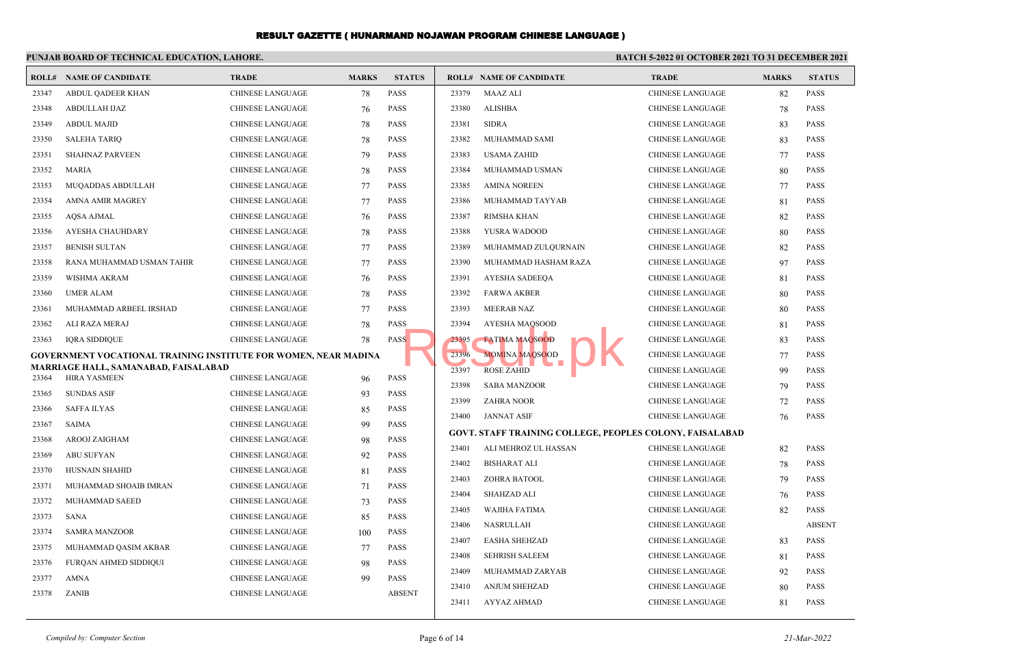#### **PUNJAB BOARD OF TECHNICAL EDUCATION, LAHORE. BATCH 5-2022 01 OCTOBER 2021 TO 31 DECEMBER 2021 ROLL# NAME OF CANDIDATE TRADE MARKS STATUS ROLL# NAME OF CANDIDATE TRADE MARKS STATUS** 23347 ABDUL QADEER KHAN CHINESE LANGUAGE 78 PASS 23348 ABDULLAH IJAZ CHINESE LANGUAGE 76 PASS 23349 ABDUL MAJID CHINESE LANGUAGE 78 PASS 23350 SALEHA TARIQ CHINESE LANGUAGE 78 PASS 23351 SHAHNAZ PARVEEN CHINESE LANGUAGE 79 PASS 23352 MARIA CHINESE LANGUAGE 78 PASS 23353 MUQADDAS ABDULLAH CHINESE LANGUAGE 77 PASS 23354 AMNA AMIR MAGREY CHINESE LANGUAGE 77 PASS 23355 AQSA AJMAL CHINESE LANGUAGE 76 PASS 23356 AYESHA CHAUHDARY CHINESE LANGUAGE 78 PASS 23357 BENISH SULTAN CHINESE LANGUAGE 77 PASS 23358 RANA MUHAMMAD USMAN TAHIR CHINESE LANGUAGE 77 PASS 23359 WISHMA AKRAM CHINESE LANGUAGE 76 PASS 23360 UMER ALAM CHINESE LANGUAGE 78 PASS 23361 MUHAMMAD ARBEEL IRSHAD CHINESE LANGUAGE 77 PASS 23362 ALI RAZA MERAJ CHINESE LANGUAGE 78 PASS 23363 IQRA SIDDIQUE CHINESE LANGUAGE 78 PASS **GOVERNMENT VOCATIONAL TRAINING INSTITUTE FOR WOMEN, NEAR MADINA MARRIAGE HALL, SAMANABAD, FAISALABAD** 23364 HIRA YASMEEN CHINESE LANGUAGE 96 PASS 23365 SUNDAS ASIF CHINESE LANGUAGE 93 PASS 23366 SAFFA ILYAS CHINESE LANGUAGE 85 PASS 23367 SAIMA CHINESE LANGUAGE 99 PASS 23368 AROOJ ZAIGHAM CHINESE LANGUAGE 98 PASS 23369 ABU SUFYAN CHINESE LANGUAGE 92 PASS 23370 HUSNAIN SHAHID CHINESE LANGUAGE 81 PASS 23371 MUHAMMAD SHOAIB IMRAN CHINESE LANGUAGE 71 PASS 23372 MUHAMMAD SAEED CHINESE LANGUAGE 73 PASS 23373 SANA CHINESE LANGUAGE 85 PASS 23374 SAMRA MANZOOR CHINESE LANGUAGE 100 PASS 23375 MUHAMMAD QASIM AKBAR CHINESE LANGUAGE 77 PASS 23376 FURQAN AHMED SIDDIQUI CHINESE LANGUAGE 98 PASS 23377 AMNA CHINESE LANGUAGE 99 PASS 23378 ZANIB CHINESE LANGUAGE ABSENT 23379 MAAZ ALI CHINESE LANGUAGE 82 PASS 23380 ALISHBA CHINESE LANGUAGE 78 PASS 23381 SIDRA CHINESE LANGUAGE 83 PASS 23382 MUHAMMAD SAMI CHINESE LANGUAGE 83 PASS 23383 USAMA ZAHID CHINESE LANGUAGE 77 PASS 23384 MUHAMMAD USMAN CHINESE LANGUAGE 80 PASS 23385 AMINA NOREEN CHINESE LANGUAGE 77 PASS 23386 MUHAMMAD TAYYAB CHINESE LANGUAGE 81 PASS 23387 RIMSHA KHAN CHINESE LANGUAGE 82 PASS 23388 YUSRA WADOOD CHINESE LANGUAGE 80 PASS 23389 MUHAMMAD ZULQURNAIN CHINESE LANGUAGE 82 PASS 23390 MUHAMMAD HASHAM RAZA CHINESE LANGUAGE 97 PASS 23391 AYESHA SADEEQA CHINESE LANGUAGE 81 PASS 23392 FARWA AKBER CHINESE LANGUAGE 80 PASS 23393 MEERAB NAZ CHINESE LANGUAGE 80 PASS 23394 AYESHA MAQSOOD LEE CHINESE LANGUAGE 81 PASS 23395 FATIMA MAQSOOD CHINESE LANGUAGE 83 PASS 23396 MOMINA MAQSOOD CHINESE LANGUAGE 77 PASS 23397 ROSE ZAHID CHINESE LANGUAGE 99 PASS 23398 SABA MANZOOR CHINESE LANGUAGE 79 PASS 23399 ZAHRA NOOR CHINESE LANGUAGE 72 PASS 23400 JANNAT ASIF CHINESE LANGUAGE 76 PASS **GOVT. STAFF TRAINING COLLEGE, PEOPLES COLONY, FAISALABAD** 23401 ALI MEHROZ UL HASSAN CHINESE LANGUAGE 82 PASS 23402 BISHARAT ALI CHINESE LANGUAGE 78 PASS 23403 ZOHRA BATOOL CHINESE LANGUAGE 79 PASS 23404 SHAHZAD ALI CHINESE LANGUAGE 76 PASS 23405 WAJIHA FATIMA CHINESE LANGUAGE 82 PASS 23406 NASRULLAH CHINESE LANGUAGE ABSENT 23407 EASHA SHEHZAD CHINESE LANGUAGE 83 PASS 23408 SEHRISH SALEEM CHINESE LANGUAGE 81 PASS 23409 MUHAMMAD ZARYAB CHINESE LANGUAGE 92 PASS 23410 ANJUM SHEHZAD CHINESE LANGUAGE 80 PASS 23411 AYYAZ AHMAD CHINESE LANGUAGE 81 PASS S<br>
B<br>
23395 FATIMA MAQSOOD<br>
23396 MOMINA MAQSOOD<br>
23397 ROSE ZAHID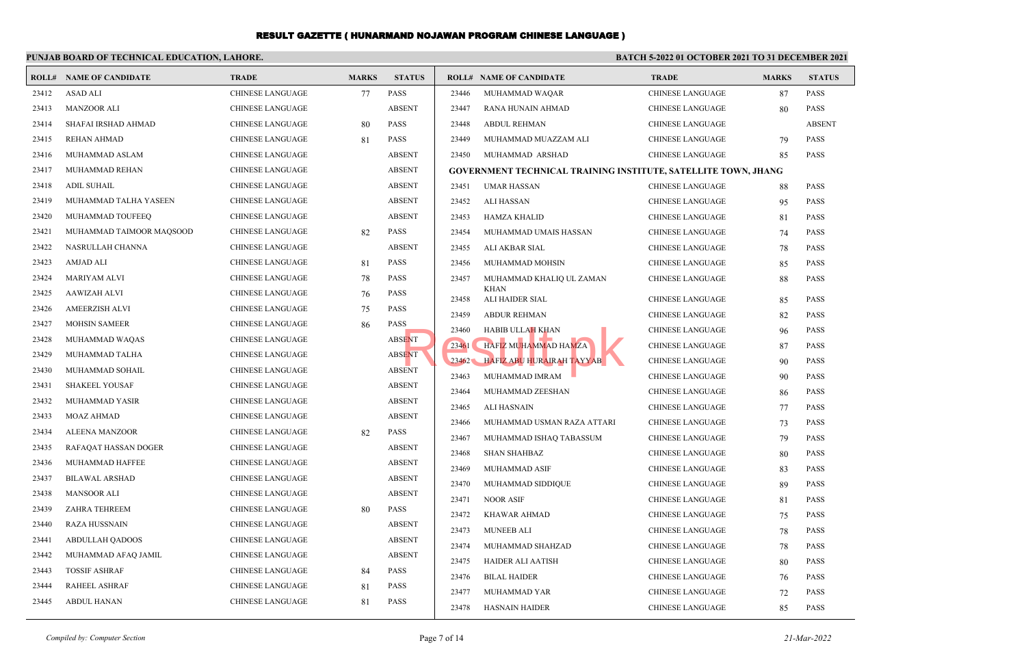| <b>STATUS</b><br><b>ROLL# NAME OF CANDIDATE</b><br><b>TRADE</b><br><b>MARKS</b><br><b>ROLL# NAME OF CANDIDATE</b><br><b>MARKS</b><br><b>STATUS</b><br><b>TRADE</b><br>23412<br><b>ASAD ALI</b><br><b>CHINESE LANGUAGE</b><br><b>PASS</b><br>23446<br>MUHAMMAD WAQAR<br><b>CHINESE LANGUAGE</b><br><b>PASS</b><br>77<br>87<br><b>ABSENT</b><br><b>PASS</b><br>23413<br><b>MANZOOR ALI</b><br><b>CHINESE LANGUAGE</b><br>23447<br>80<br>RANA HUNAIN AHMAD<br>CHINESE LANGUAGE<br><b>ABSENT</b><br><b>PASS</b><br>23414<br>SHAFAI IRSHAD AHMAD<br><b>CHINESE LANGUAGE</b><br>23448<br><b>ABDUL REHMAN</b><br><b>CHINESE LANGUAGE</b><br>80<br>23415<br><b>REHAN AHMAD</b><br><b>PASS</b><br>23449<br>MUHAMMAD MUAZZAM ALI<br>79<br>PASS<br><b>CHINESE LANGUAGE</b><br>81<br>CHINESE LANGUAGE<br><b>ABSENT</b><br><b>PASS</b><br>23416<br>MUHAMMAD ASLAM<br>CHINESE LANGUAGE<br>23450<br>MUHAMMAD ARSHAD<br>CHINESE LANGUAGE<br>85<br><b>ABSENT</b><br>23417<br>MUHAMMAD REHAN<br><b>CHINESE LANGUAGE</b><br><b>GOVERNMENT TECHNICAL TRAINING INSTITUTE, SATELLITE TOWN, JHANG</b><br><b>ABSENT</b><br>23418<br><b>ADIL SUHAIL</b><br><b>CHINESE LANGUAGE</b><br>23451<br><b>PASS</b><br><b>UMAR HASSAN</b><br><b>CHINESE LANGUAGE</b><br>88<br>23419<br><b>ABSENT</b><br>MUHAMMAD TALHA YASEEN<br><b>CHINESE LANGUAGE</b><br>23452<br><b>PASS</b><br>ALI HASSAN<br>CHINESE LANGUAGE<br>95<br><b>ABSENT</b><br>23420<br>MUHAMMAD TOUFEEQ<br><b>CHINESE LANGUAGE</b><br>23453<br><b>PASS</b><br><b>HAMZA KHALID</b><br><b>CHINESE LANGUAGE</b><br>81<br>23421<br><b>PASS</b><br>MUHAMMAD TAIMOOR MAQSOOD<br><b>CHINESE LANGUAGE</b><br>82<br><b>PASS</b><br>23454<br>MUHAMMAD UMAIS HASSAN<br><b>CHINESE LANGUAGE</b><br>74<br>23422<br><b>CHINESE LANGUAGE</b><br><b>ABSENT</b><br>NASRULLAH CHANNA<br>23455<br><b>PASS</b><br>ALI AKBAR SIAL<br><b>CHINESE LANGUAGE</b><br>78<br>23423<br><b>PASS</b><br>AMJAD ALI<br><b>CHINESE LANGUAGE</b><br>81<br>23456<br>MUHAMMAD MOHSIN<br><b>PASS</b><br><b>CHINESE LANGUAGE</b><br>85<br>23424<br><b>PASS</b><br><b>MARIYAM ALVI</b><br>CHINESE LANGUAGE<br>78<br><b>PASS</b><br>23457<br>MUHAMMAD KHALIQ UL ZAMAN<br><b>CHINESE LANGUAGE</b><br>88<br><b>KHAN</b><br>23425<br><b>AAWIZAH ALVI</b><br><b>CHINESE LANGUAGE</b><br><b>PASS</b><br>76<br><b>PASS</b><br>23458<br>ALI HAIDER SIAL<br><b>CHINESE LANGUAGE</b><br>85<br><b>PASS</b><br>23426<br>AMEERZISH ALVI<br><b>CHINESE LANGUAGE</b><br>75<br><b>PASS</b><br>23459<br><b>ABDUR REHMAN</b><br>CHINESE LANGUAGE<br>82<br>23427<br><b>MOHSIN SAMEER</b><br><b>PASS</b><br><b>CHINESE LANGUAGE</b><br>86<br>23460<br><b>PASS</b><br>HABIB ULLAH KHAN<br><b>CHINESE LANGUAGE</b><br>96<br>23428<br>MUHAMMAD WAQAS<br>CHINESE LANGUAGE<br><b>ABSENT</b><br>23461<br><b>HAFIZ MUHAMMAD HAMZA</b><br><b>PASS</b><br><b>CHINESE LANGUAGE</b><br>87<br>23429<br><b>ABSENT</b><br>MUHAMMAD TALHA<br>CHINESE LANGUAGE<br>23462<br>HAFIZ ABU HURAIRAH TAYYAB<br><b>PASS</b><br><b>CHINESE LANGUAGE</b><br>90<br><b>ABSENT</b><br>23430<br>MUHAMMAD SOHAIL<br><b>CHINESE LANGUAGE</b><br><b>PASS</b><br>MUHAMMAD IMRAM<br>23463<br><b>CHINESE LANGUAGE</b><br>90<br><b>ABSENT</b><br>23431<br><b>SHAKEEL YOUSAF</b><br><b>CHINESE LANGUAGE</b><br><b>PASS</b><br>23464<br>MUHAMMAD ZEESHAN<br>CHINESE LANGUAGE<br>86<br><b>ABSENT</b><br>23432<br>MUHAMMAD YASIR<br><b>CHINESE LANGUAGE</b><br><b>PASS</b><br>23465<br>ALI HASNAIN<br><b>CHINESE LANGUAGE</b><br>77<br>23433<br><b>MOAZ AHMAD</b><br><b>ABSENT</b><br><b>CHINESE LANGUAGE</b><br><b>PASS</b><br>23466<br>MUHAMMAD USMAN RAZA ATTARI<br><b>CHINESE LANGUAGE</b><br>73<br><b>PASS</b><br>23434<br>ALEENA MANZOOR<br><b>CHINESE LANGUAGE</b><br>82<br><b>PASS</b><br>23467<br>MUHAMMAD ISHAQ TABASSUM<br><b>CHINESE LANGUAGE</b><br>79<br><b>ABSENT</b><br>23435<br>RAFAQAT HASSAN DOGER<br><b>CHINESE LANGUAGE</b><br><b>PASS</b><br>23468<br><b>SHAN SHAHBAZ</b><br>CHINESE LANGUAGE<br>80<br>23436<br>MUHAMMAD HAFFEE<br><b>CHINESE LANGUAGE</b><br><b>ABSENT</b><br>23469<br><b>PASS</b><br>MUHAMMAD ASIF<br><b>CHINESE LANGUAGE</b><br>83<br>23437<br><b>BILAWAL ARSHAD</b><br><b>CHINESE LANGUAGE</b><br><b>ABSENT</b><br>23470<br><b>PASS</b><br>MUHAMMAD SIDDIQUE<br><b>CHINESE LANGUAGE</b><br>89<br>23438<br><b>MANSOOR ALI</b><br><b>CHINESE LANGUAGE</b><br><b>ABSENT</b><br>23471<br><b>NOOR ASIF</b><br><b>PASS</b><br><b>CHINESE LANGUAGE</b><br>81<br>23439<br><b>ZAHRA TEHREEM</b><br><b>CHINESE LANGUAGE</b><br>80<br><b>PASS</b><br>23472<br><b>PASS</b><br><b>KHAWAR AHMAD</b><br>CHINESE LANGUAGE<br>75<br>23440<br><b>RAZA HUSSNAIN</b><br><b>CHINESE LANGUAGE</b><br><b>ABSENT</b><br>23473<br><b>PASS</b><br>MUNEEB ALI<br><b>CHINESE LANGUAGE</b><br>78<br>23441<br><b>ABSENT</b><br><b>ABDULLAH QADOOS</b><br><b>CHINESE LANGUAGE</b><br><b>PASS</b><br>23474<br>MUHAMMAD SHAHZAD<br>78<br><b>CHINESE LANGUAGE</b><br>23442<br><b>ABSENT</b><br>MUHAMMAD AFAQ JAMIL<br><b>CHINESE LANGUAGE</b><br><b>PASS</b><br>23475<br><b>HAIDER ALI AATISH</b><br><b>CHINESE LANGUAGE</b><br>80<br><b>PASS</b><br>23443<br><b>TOSSIF ASHRAF</b><br>CHINESE LANGUAGE<br>84<br>23476<br><b>PASS</b><br><b>BILAL HAIDER</b><br>CHINESE LANGUAGE<br>76<br>23444<br><b>RAHEEL ASHRAF</b><br><b>CHINESE LANGUAGE</b><br><b>PASS</b><br>81<br>23477<br>MUHAMMAD YAR<br>72<br><b>PASS</b><br><b>CHINESE LANGUAGE</b> | PUNJAB BOARD OF TECHNICAL EDUCATION, LAHORE. |  | BATCH 5-2022 01 OCTOBER 2021 TO 31 DECEMBER 2021 |  |  |  |  |  |
|---------------------------------------------------------------------------------------------------------------------------------------------------------------------------------------------------------------------------------------------------------------------------------------------------------------------------------------------------------------------------------------------------------------------------------------------------------------------------------------------------------------------------------------------------------------------------------------------------------------------------------------------------------------------------------------------------------------------------------------------------------------------------------------------------------------------------------------------------------------------------------------------------------------------------------------------------------------------------------------------------------------------------------------------------------------------------------------------------------------------------------------------------------------------------------------------------------------------------------------------------------------------------------------------------------------------------------------------------------------------------------------------------------------------------------------------------------------------------------------------------------------------------------------------------------------------------------------------------------------------------------------------------------------------------------------------------------------------------------------------------------------------------------------------------------------------------------------------------------------------------------------------------------------------------------------------------------------------------------------------------------------------------------------------------------------------------------------------------------------------------------------------------------------------------------------------------------------------------------------------------------------------------------------------------------------------------------------------------------------------------------------------------------------------------------------------------------------------------------------------------------------------------------------------------------------------------------------------------------------------------------------------------------------------------------------------------------------------------------------------------------------------------------------------------------------------------------------------------------------------------------------------------------------------------------------------------------------------------------------------------------------------------------------------------------------------------------------------------------------------------------------------------------------------------------------------------------------------------------------------------------------------------------------------------------------------------------------------------------------------------------------------------------------------------------------------------------------------------------------------------------------------------------------------------------------------------------------------------------------------------------------------------------------------------------------------------------------------------------------------------------------------------------------------------------------------------------------------------------------------------------------------------------------------------------------------------------------------------------------------------------------------------------------------------------------------------------------------------------------------------------------------------------------------------------------------------------------------------------------------------------------------------------------------------------------------------------------------------------------------------------------------------------------------------------------------------------------------------------------------------------------------------------------------------------------------------------------------------------------------------------------------------------------------------------------------------------------------------------------------------------------------------------------------------------------------------------------------------------------------------------------------------------------------------------------------------------------------------------------------------------------------------------------------------------------------------------------------------------------------------------------------------------------------------------------------------------------------------------------------------------------------------------------------------------------------------------------------------------------------------------|----------------------------------------------|--|--------------------------------------------------|--|--|--|--|--|
|                                                                                                                                                                                                                                                                                                                                                                                                                                                                                                                                                                                                                                                                                                                                                                                                                                                                                                                                                                                                                                                                                                                                                                                                                                                                                                                                                                                                                                                                                                                                                                                                                                                                                                                                                                                                                                                                                                                                                                                                                                                                                                                                                                                                                                                                                                                                                                                                                                                                                                                                                                                                                                                                                                                                                                                                                                                                                                                                                                                                                                                                                                                                                                                                                                                                                                                                                                                                                                                                                                                                                                                                                                                                                                                                                                                                                                                                                                                                                                                                                                                                                                                                                                                                                                                                                                                                                                                                                                                                                                                                                                                                                                                                                                                                                                                                                                                                                                                                                                                                                                                                                                                                                                                                                                                                                                                                                                                 |                                              |  |                                                  |  |  |  |  |  |
|                                                                                                                                                                                                                                                                                                                                                                                                                                                                                                                                                                                                                                                                                                                                                                                                                                                                                                                                                                                                                                                                                                                                                                                                                                                                                                                                                                                                                                                                                                                                                                                                                                                                                                                                                                                                                                                                                                                                                                                                                                                                                                                                                                                                                                                                                                                                                                                                                                                                                                                                                                                                                                                                                                                                                                                                                                                                                                                                                                                                                                                                                                                                                                                                                                                                                                                                                                                                                                                                                                                                                                                                                                                                                                                                                                                                                                                                                                                                                                                                                                                                                                                                                                                                                                                                                                                                                                                                                                                                                                                                                                                                                                                                                                                                                                                                                                                                                                                                                                                                                                                                                                                                                                                                                                                                                                                                                                                 |                                              |  |                                                  |  |  |  |  |  |
|                                                                                                                                                                                                                                                                                                                                                                                                                                                                                                                                                                                                                                                                                                                                                                                                                                                                                                                                                                                                                                                                                                                                                                                                                                                                                                                                                                                                                                                                                                                                                                                                                                                                                                                                                                                                                                                                                                                                                                                                                                                                                                                                                                                                                                                                                                                                                                                                                                                                                                                                                                                                                                                                                                                                                                                                                                                                                                                                                                                                                                                                                                                                                                                                                                                                                                                                                                                                                                                                                                                                                                                                                                                                                                                                                                                                                                                                                                                                                                                                                                                                                                                                                                                                                                                                                                                                                                                                                                                                                                                                                                                                                                                                                                                                                                                                                                                                                                                                                                                                                                                                                                                                                                                                                                                                                                                                                                                 |                                              |  |                                                  |  |  |  |  |  |
|                                                                                                                                                                                                                                                                                                                                                                                                                                                                                                                                                                                                                                                                                                                                                                                                                                                                                                                                                                                                                                                                                                                                                                                                                                                                                                                                                                                                                                                                                                                                                                                                                                                                                                                                                                                                                                                                                                                                                                                                                                                                                                                                                                                                                                                                                                                                                                                                                                                                                                                                                                                                                                                                                                                                                                                                                                                                                                                                                                                                                                                                                                                                                                                                                                                                                                                                                                                                                                                                                                                                                                                                                                                                                                                                                                                                                                                                                                                                                                                                                                                                                                                                                                                                                                                                                                                                                                                                                                                                                                                                                                                                                                                                                                                                                                                                                                                                                                                                                                                                                                                                                                                                                                                                                                                                                                                                                                                 |                                              |  |                                                  |  |  |  |  |  |
|                                                                                                                                                                                                                                                                                                                                                                                                                                                                                                                                                                                                                                                                                                                                                                                                                                                                                                                                                                                                                                                                                                                                                                                                                                                                                                                                                                                                                                                                                                                                                                                                                                                                                                                                                                                                                                                                                                                                                                                                                                                                                                                                                                                                                                                                                                                                                                                                                                                                                                                                                                                                                                                                                                                                                                                                                                                                                                                                                                                                                                                                                                                                                                                                                                                                                                                                                                                                                                                                                                                                                                                                                                                                                                                                                                                                                                                                                                                                                                                                                                                                                                                                                                                                                                                                                                                                                                                                                                                                                                                                                                                                                                                                                                                                                                                                                                                                                                                                                                                                                                                                                                                                                                                                                                                                                                                                                                                 |                                              |  |                                                  |  |  |  |  |  |
|                                                                                                                                                                                                                                                                                                                                                                                                                                                                                                                                                                                                                                                                                                                                                                                                                                                                                                                                                                                                                                                                                                                                                                                                                                                                                                                                                                                                                                                                                                                                                                                                                                                                                                                                                                                                                                                                                                                                                                                                                                                                                                                                                                                                                                                                                                                                                                                                                                                                                                                                                                                                                                                                                                                                                                                                                                                                                                                                                                                                                                                                                                                                                                                                                                                                                                                                                                                                                                                                                                                                                                                                                                                                                                                                                                                                                                                                                                                                                                                                                                                                                                                                                                                                                                                                                                                                                                                                                                                                                                                                                                                                                                                                                                                                                                                                                                                                                                                                                                                                                                                                                                                                                                                                                                                                                                                                                                                 |                                              |  |                                                  |  |  |  |  |  |
|                                                                                                                                                                                                                                                                                                                                                                                                                                                                                                                                                                                                                                                                                                                                                                                                                                                                                                                                                                                                                                                                                                                                                                                                                                                                                                                                                                                                                                                                                                                                                                                                                                                                                                                                                                                                                                                                                                                                                                                                                                                                                                                                                                                                                                                                                                                                                                                                                                                                                                                                                                                                                                                                                                                                                                                                                                                                                                                                                                                                                                                                                                                                                                                                                                                                                                                                                                                                                                                                                                                                                                                                                                                                                                                                                                                                                                                                                                                                                                                                                                                                                                                                                                                                                                                                                                                                                                                                                                                                                                                                                                                                                                                                                                                                                                                                                                                                                                                                                                                                                                                                                                                                                                                                                                                                                                                                                                                 |                                              |  |                                                  |  |  |  |  |  |
|                                                                                                                                                                                                                                                                                                                                                                                                                                                                                                                                                                                                                                                                                                                                                                                                                                                                                                                                                                                                                                                                                                                                                                                                                                                                                                                                                                                                                                                                                                                                                                                                                                                                                                                                                                                                                                                                                                                                                                                                                                                                                                                                                                                                                                                                                                                                                                                                                                                                                                                                                                                                                                                                                                                                                                                                                                                                                                                                                                                                                                                                                                                                                                                                                                                                                                                                                                                                                                                                                                                                                                                                                                                                                                                                                                                                                                                                                                                                                                                                                                                                                                                                                                                                                                                                                                                                                                                                                                                                                                                                                                                                                                                                                                                                                                                                                                                                                                                                                                                                                                                                                                                                                                                                                                                                                                                                                                                 |                                              |  |                                                  |  |  |  |  |  |
|                                                                                                                                                                                                                                                                                                                                                                                                                                                                                                                                                                                                                                                                                                                                                                                                                                                                                                                                                                                                                                                                                                                                                                                                                                                                                                                                                                                                                                                                                                                                                                                                                                                                                                                                                                                                                                                                                                                                                                                                                                                                                                                                                                                                                                                                                                                                                                                                                                                                                                                                                                                                                                                                                                                                                                                                                                                                                                                                                                                                                                                                                                                                                                                                                                                                                                                                                                                                                                                                                                                                                                                                                                                                                                                                                                                                                                                                                                                                                                                                                                                                                                                                                                                                                                                                                                                                                                                                                                                                                                                                                                                                                                                                                                                                                                                                                                                                                                                                                                                                                                                                                                                                                                                                                                                                                                                                                                                 |                                              |  |                                                  |  |  |  |  |  |
|                                                                                                                                                                                                                                                                                                                                                                                                                                                                                                                                                                                                                                                                                                                                                                                                                                                                                                                                                                                                                                                                                                                                                                                                                                                                                                                                                                                                                                                                                                                                                                                                                                                                                                                                                                                                                                                                                                                                                                                                                                                                                                                                                                                                                                                                                                                                                                                                                                                                                                                                                                                                                                                                                                                                                                                                                                                                                                                                                                                                                                                                                                                                                                                                                                                                                                                                                                                                                                                                                                                                                                                                                                                                                                                                                                                                                                                                                                                                                                                                                                                                                                                                                                                                                                                                                                                                                                                                                                                                                                                                                                                                                                                                                                                                                                                                                                                                                                                                                                                                                                                                                                                                                                                                                                                                                                                                                                                 |                                              |  |                                                  |  |  |  |  |  |
|                                                                                                                                                                                                                                                                                                                                                                                                                                                                                                                                                                                                                                                                                                                                                                                                                                                                                                                                                                                                                                                                                                                                                                                                                                                                                                                                                                                                                                                                                                                                                                                                                                                                                                                                                                                                                                                                                                                                                                                                                                                                                                                                                                                                                                                                                                                                                                                                                                                                                                                                                                                                                                                                                                                                                                                                                                                                                                                                                                                                                                                                                                                                                                                                                                                                                                                                                                                                                                                                                                                                                                                                                                                                                                                                                                                                                                                                                                                                                                                                                                                                                                                                                                                                                                                                                                                                                                                                                                                                                                                                                                                                                                                                                                                                                                                                                                                                                                                                                                                                                                                                                                                                                                                                                                                                                                                                                                                 |                                              |  |                                                  |  |  |  |  |  |
|                                                                                                                                                                                                                                                                                                                                                                                                                                                                                                                                                                                                                                                                                                                                                                                                                                                                                                                                                                                                                                                                                                                                                                                                                                                                                                                                                                                                                                                                                                                                                                                                                                                                                                                                                                                                                                                                                                                                                                                                                                                                                                                                                                                                                                                                                                                                                                                                                                                                                                                                                                                                                                                                                                                                                                                                                                                                                                                                                                                                                                                                                                                                                                                                                                                                                                                                                                                                                                                                                                                                                                                                                                                                                                                                                                                                                                                                                                                                                                                                                                                                                                                                                                                                                                                                                                                                                                                                                                                                                                                                                                                                                                                                                                                                                                                                                                                                                                                                                                                                                                                                                                                                                                                                                                                                                                                                                                                 |                                              |  |                                                  |  |  |  |  |  |
|                                                                                                                                                                                                                                                                                                                                                                                                                                                                                                                                                                                                                                                                                                                                                                                                                                                                                                                                                                                                                                                                                                                                                                                                                                                                                                                                                                                                                                                                                                                                                                                                                                                                                                                                                                                                                                                                                                                                                                                                                                                                                                                                                                                                                                                                                                                                                                                                                                                                                                                                                                                                                                                                                                                                                                                                                                                                                                                                                                                                                                                                                                                                                                                                                                                                                                                                                                                                                                                                                                                                                                                                                                                                                                                                                                                                                                                                                                                                                                                                                                                                                                                                                                                                                                                                                                                                                                                                                                                                                                                                                                                                                                                                                                                                                                                                                                                                                                                                                                                                                                                                                                                                                                                                                                                                                                                                                                                 |                                              |  |                                                  |  |  |  |  |  |
|                                                                                                                                                                                                                                                                                                                                                                                                                                                                                                                                                                                                                                                                                                                                                                                                                                                                                                                                                                                                                                                                                                                                                                                                                                                                                                                                                                                                                                                                                                                                                                                                                                                                                                                                                                                                                                                                                                                                                                                                                                                                                                                                                                                                                                                                                                                                                                                                                                                                                                                                                                                                                                                                                                                                                                                                                                                                                                                                                                                                                                                                                                                                                                                                                                                                                                                                                                                                                                                                                                                                                                                                                                                                                                                                                                                                                                                                                                                                                                                                                                                                                                                                                                                                                                                                                                                                                                                                                                                                                                                                                                                                                                                                                                                                                                                                                                                                                                                                                                                                                                                                                                                                                                                                                                                                                                                                                                                 |                                              |  |                                                  |  |  |  |  |  |
|                                                                                                                                                                                                                                                                                                                                                                                                                                                                                                                                                                                                                                                                                                                                                                                                                                                                                                                                                                                                                                                                                                                                                                                                                                                                                                                                                                                                                                                                                                                                                                                                                                                                                                                                                                                                                                                                                                                                                                                                                                                                                                                                                                                                                                                                                                                                                                                                                                                                                                                                                                                                                                                                                                                                                                                                                                                                                                                                                                                                                                                                                                                                                                                                                                                                                                                                                                                                                                                                                                                                                                                                                                                                                                                                                                                                                                                                                                                                                                                                                                                                                                                                                                                                                                                                                                                                                                                                                                                                                                                                                                                                                                                                                                                                                                                                                                                                                                                                                                                                                                                                                                                                                                                                                                                                                                                                                                                 |                                              |  |                                                  |  |  |  |  |  |
|                                                                                                                                                                                                                                                                                                                                                                                                                                                                                                                                                                                                                                                                                                                                                                                                                                                                                                                                                                                                                                                                                                                                                                                                                                                                                                                                                                                                                                                                                                                                                                                                                                                                                                                                                                                                                                                                                                                                                                                                                                                                                                                                                                                                                                                                                                                                                                                                                                                                                                                                                                                                                                                                                                                                                                                                                                                                                                                                                                                                                                                                                                                                                                                                                                                                                                                                                                                                                                                                                                                                                                                                                                                                                                                                                                                                                                                                                                                                                                                                                                                                                                                                                                                                                                                                                                                                                                                                                                                                                                                                                                                                                                                                                                                                                                                                                                                                                                                                                                                                                                                                                                                                                                                                                                                                                                                                                                                 |                                              |  |                                                  |  |  |  |  |  |
|                                                                                                                                                                                                                                                                                                                                                                                                                                                                                                                                                                                                                                                                                                                                                                                                                                                                                                                                                                                                                                                                                                                                                                                                                                                                                                                                                                                                                                                                                                                                                                                                                                                                                                                                                                                                                                                                                                                                                                                                                                                                                                                                                                                                                                                                                                                                                                                                                                                                                                                                                                                                                                                                                                                                                                                                                                                                                                                                                                                                                                                                                                                                                                                                                                                                                                                                                                                                                                                                                                                                                                                                                                                                                                                                                                                                                                                                                                                                                                                                                                                                                                                                                                                                                                                                                                                                                                                                                                                                                                                                                                                                                                                                                                                                                                                                                                                                                                                                                                                                                                                                                                                                                                                                                                                                                                                                                                                 |                                              |  |                                                  |  |  |  |  |  |
|                                                                                                                                                                                                                                                                                                                                                                                                                                                                                                                                                                                                                                                                                                                                                                                                                                                                                                                                                                                                                                                                                                                                                                                                                                                                                                                                                                                                                                                                                                                                                                                                                                                                                                                                                                                                                                                                                                                                                                                                                                                                                                                                                                                                                                                                                                                                                                                                                                                                                                                                                                                                                                                                                                                                                                                                                                                                                                                                                                                                                                                                                                                                                                                                                                                                                                                                                                                                                                                                                                                                                                                                                                                                                                                                                                                                                                                                                                                                                                                                                                                                                                                                                                                                                                                                                                                                                                                                                                                                                                                                                                                                                                                                                                                                                                                                                                                                                                                                                                                                                                                                                                                                                                                                                                                                                                                                                                                 |                                              |  |                                                  |  |  |  |  |  |
|                                                                                                                                                                                                                                                                                                                                                                                                                                                                                                                                                                                                                                                                                                                                                                                                                                                                                                                                                                                                                                                                                                                                                                                                                                                                                                                                                                                                                                                                                                                                                                                                                                                                                                                                                                                                                                                                                                                                                                                                                                                                                                                                                                                                                                                                                                                                                                                                                                                                                                                                                                                                                                                                                                                                                                                                                                                                                                                                                                                                                                                                                                                                                                                                                                                                                                                                                                                                                                                                                                                                                                                                                                                                                                                                                                                                                                                                                                                                                                                                                                                                                                                                                                                                                                                                                                                                                                                                                                                                                                                                                                                                                                                                                                                                                                                                                                                                                                                                                                                                                                                                                                                                                                                                                                                                                                                                                                                 |                                              |  |                                                  |  |  |  |  |  |
|                                                                                                                                                                                                                                                                                                                                                                                                                                                                                                                                                                                                                                                                                                                                                                                                                                                                                                                                                                                                                                                                                                                                                                                                                                                                                                                                                                                                                                                                                                                                                                                                                                                                                                                                                                                                                                                                                                                                                                                                                                                                                                                                                                                                                                                                                                                                                                                                                                                                                                                                                                                                                                                                                                                                                                                                                                                                                                                                                                                                                                                                                                                                                                                                                                                                                                                                                                                                                                                                                                                                                                                                                                                                                                                                                                                                                                                                                                                                                                                                                                                                                                                                                                                                                                                                                                                                                                                                                                                                                                                                                                                                                                                                                                                                                                                                                                                                                                                                                                                                                                                                                                                                                                                                                                                                                                                                                                                 |                                              |  |                                                  |  |  |  |  |  |
|                                                                                                                                                                                                                                                                                                                                                                                                                                                                                                                                                                                                                                                                                                                                                                                                                                                                                                                                                                                                                                                                                                                                                                                                                                                                                                                                                                                                                                                                                                                                                                                                                                                                                                                                                                                                                                                                                                                                                                                                                                                                                                                                                                                                                                                                                                                                                                                                                                                                                                                                                                                                                                                                                                                                                                                                                                                                                                                                                                                                                                                                                                                                                                                                                                                                                                                                                                                                                                                                                                                                                                                                                                                                                                                                                                                                                                                                                                                                                                                                                                                                                                                                                                                                                                                                                                                                                                                                                                                                                                                                                                                                                                                                                                                                                                                                                                                                                                                                                                                                                                                                                                                                                                                                                                                                                                                                                                                 |                                              |  |                                                  |  |  |  |  |  |
|                                                                                                                                                                                                                                                                                                                                                                                                                                                                                                                                                                                                                                                                                                                                                                                                                                                                                                                                                                                                                                                                                                                                                                                                                                                                                                                                                                                                                                                                                                                                                                                                                                                                                                                                                                                                                                                                                                                                                                                                                                                                                                                                                                                                                                                                                                                                                                                                                                                                                                                                                                                                                                                                                                                                                                                                                                                                                                                                                                                                                                                                                                                                                                                                                                                                                                                                                                                                                                                                                                                                                                                                                                                                                                                                                                                                                                                                                                                                                                                                                                                                                                                                                                                                                                                                                                                                                                                                                                                                                                                                                                                                                                                                                                                                                                                                                                                                                                                                                                                                                                                                                                                                                                                                                                                                                                                                                                                 |                                              |  |                                                  |  |  |  |  |  |
|                                                                                                                                                                                                                                                                                                                                                                                                                                                                                                                                                                                                                                                                                                                                                                                                                                                                                                                                                                                                                                                                                                                                                                                                                                                                                                                                                                                                                                                                                                                                                                                                                                                                                                                                                                                                                                                                                                                                                                                                                                                                                                                                                                                                                                                                                                                                                                                                                                                                                                                                                                                                                                                                                                                                                                                                                                                                                                                                                                                                                                                                                                                                                                                                                                                                                                                                                                                                                                                                                                                                                                                                                                                                                                                                                                                                                                                                                                                                                                                                                                                                                                                                                                                                                                                                                                                                                                                                                                                                                                                                                                                                                                                                                                                                                                                                                                                                                                                                                                                                                                                                                                                                                                                                                                                                                                                                                                                 |                                              |  |                                                  |  |  |  |  |  |
|                                                                                                                                                                                                                                                                                                                                                                                                                                                                                                                                                                                                                                                                                                                                                                                                                                                                                                                                                                                                                                                                                                                                                                                                                                                                                                                                                                                                                                                                                                                                                                                                                                                                                                                                                                                                                                                                                                                                                                                                                                                                                                                                                                                                                                                                                                                                                                                                                                                                                                                                                                                                                                                                                                                                                                                                                                                                                                                                                                                                                                                                                                                                                                                                                                                                                                                                                                                                                                                                                                                                                                                                                                                                                                                                                                                                                                                                                                                                                                                                                                                                                                                                                                                                                                                                                                                                                                                                                                                                                                                                                                                                                                                                                                                                                                                                                                                                                                                                                                                                                                                                                                                                                                                                                                                                                                                                                                                 |                                              |  |                                                  |  |  |  |  |  |
|                                                                                                                                                                                                                                                                                                                                                                                                                                                                                                                                                                                                                                                                                                                                                                                                                                                                                                                                                                                                                                                                                                                                                                                                                                                                                                                                                                                                                                                                                                                                                                                                                                                                                                                                                                                                                                                                                                                                                                                                                                                                                                                                                                                                                                                                                                                                                                                                                                                                                                                                                                                                                                                                                                                                                                                                                                                                                                                                                                                                                                                                                                                                                                                                                                                                                                                                                                                                                                                                                                                                                                                                                                                                                                                                                                                                                                                                                                                                                                                                                                                                                                                                                                                                                                                                                                                                                                                                                                                                                                                                                                                                                                                                                                                                                                                                                                                                                                                                                                                                                                                                                                                                                                                                                                                                                                                                                                                 |                                              |  |                                                  |  |  |  |  |  |
|                                                                                                                                                                                                                                                                                                                                                                                                                                                                                                                                                                                                                                                                                                                                                                                                                                                                                                                                                                                                                                                                                                                                                                                                                                                                                                                                                                                                                                                                                                                                                                                                                                                                                                                                                                                                                                                                                                                                                                                                                                                                                                                                                                                                                                                                                                                                                                                                                                                                                                                                                                                                                                                                                                                                                                                                                                                                                                                                                                                                                                                                                                                                                                                                                                                                                                                                                                                                                                                                                                                                                                                                                                                                                                                                                                                                                                                                                                                                                                                                                                                                                                                                                                                                                                                                                                                                                                                                                                                                                                                                                                                                                                                                                                                                                                                                                                                                                                                                                                                                                                                                                                                                                                                                                                                                                                                                                                                 |                                              |  |                                                  |  |  |  |  |  |
|                                                                                                                                                                                                                                                                                                                                                                                                                                                                                                                                                                                                                                                                                                                                                                                                                                                                                                                                                                                                                                                                                                                                                                                                                                                                                                                                                                                                                                                                                                                                                                                                                                                                                                                                                                                                                                                                                                                                                                                                                                                                                                                                                                                                                                                                                                                                                                                                                                                                                                                                                                                                                                                                                                                                                                                                                                                                                                                                                                                                                                                                                                                                                                                                                                                                                                                                                                                                                                                                                                                                                                                                                                                                                                                                                                                                                                                                                                                                                                                                                                                                                                                                                                                                                                                                                                                                                                                                                                                                                                                                                                                                                                                                                                                                                                                                                                                                                                                                                                                                                                                                                                                                                                                                                                                                                                                                                                                 |                                              |  |                                                  |  |  |  |  |  |
|                                                                                                                                                                                                                                                                                                                                                                                                                                                                                                                                                                                                                                                                                                                                                                                                                                                                                                                                                                                                                                                                                                                                                                                                                                                                                                                                                                                                                                                                                                                                                                                                                                                                                                                                                                                                                                                                                                                                                                                                                                                                                                                                                                                                                                                                                                                                                                                                                                                                                                                                                                                                                                                                                                                                                                                                                                                                                                                                                                                                                                                                                                                                                                                                                                                                                                                                                                                                                                                                                                                                                                                                                                                                                                                                                                                                                                                                                                                                                                                                                                                                                                                                                                                                                                                                                                                                                                                                                                                                                                                                                                                                                                                                                                                                                                                                                                                                                                                                                                                                                                                                                                                                                                                                                                                                                                                                                                                 |                                              |  |                                                  |  |  |  |  |  |
|                                                                                                                                                                                                                                                                                                                                                                                                                                                                                                                                                                                                                                                                                                                                                                                                                                                                                                                                                                                                                                                                                                                                                                                                                                                                                                                                                                                                                                                                                                                                                                                                                                                                                                                                                                                                                                                                                                                                                                                                                                                                                                                                                                                                                                                                                                                                                                                                                                                                                                                                                                                                                                                                                                                                                                                                                                                                                                                                                                                                                                                                                                                                                                                                                                                                                                                                                                                                                                                                                                                                                                                                                                                                                                                                                                                                                                                                                                                                                                                                                                                                                                                                                                                                                                                                                                                                                                                                                                                                                                                                                                                                                                                                                                                                                                                                                                                                                                                                                                                                                                                                                                                                                                                                                                                                                                                                                                                 |                                              |  |                                                  |  |  |  |  |  |
|                                                                                                                                                                                                                                                                                                                                                                                                                                                                                                                                                                                                                                                                                                                                                                                                                                                                                                                                                                                                                                                                                                                                                                                                                                                                                                                                                                                                                                                                                                                                                                                                                                                                                                                                                                                                                                                                                                                                                                                                                                                                                                                                                                                                                                                                                                                                                                                                                                                                                                                                                                                                                                                                                                                                                                                                                                                                                                                                                                                                                                                                                                                                                                                                                                                                                                                                                                                                                                                                                                                                                                                                                                                                                                                                                                                                                                                                                                                                                                                                                                                                                                                                                                                                                                                                                                                                                                                                                                                                                                                                                                                                                                                                                                                                                                                                                                                                                                                                                                                                                                                                                                                                                                                                                                                                                                                                                                                 |                                              |  |                                                  |  |  |  |  |  |
|                                                                                                                                                                                                                                                                                                                                                                                                                                                                                                                                                                                                                                                                                                                                                                                                                                                                                                                                                                                                                                                                                                                                                                                                                                                                                                                                                                                                                                                                                                                                                                                                                                                                                                                                                                                                                                                                                                                                                                                                                                                                                                                                                                                                                                                                                                                                                                                                                                                                                                                                                                                                                                                                                                                                                                                                                                                                                                                                                                                                                                                                                                                                                                                                                                                                                                                                                                                                                                                                                                                                                                                                                                                                                                                                                                                                                                                                                                                                                                                                                                                                                                                                                                                                                                                                                                                                                                                                                                                                                                                                                                                                                                                                                                                                                                                                                                                                                                                                                                                                                                                                                                                                                                                                                                                                                                                                                                                 |                                              |  |                                                  |  |  |  |  |  |
|                                                                                                                                                                                                                                                                                                                                                                                                                                                                                                                                                                                                                                                                                                                                                                                                                                                                                                                                                                                                                                                                                                                                                                                                                                                                                                                                                                                                                                                                                                                                                                                                                                                                                                                                                                                                                                                                                                                                                                                                                                                                                                                                                                                                                                                                                                                                                                                                                                                                                                                                                                                                                                                                                                                                                                                                                                                                                                                                                                                                                                                                                                                                                                                                                                                                                                                                                                                                                                                                                                                                                                                                                                                                                                                                                                                                                                                                                                                                                                                                                                                                                                                                                                                                                                                                                                                                                                                                                                                                                                                                                                                                                                                                                                                                                                                                                                                                                                                                                                                                                                                                                                                                                                                                                                                                                                                                                                                 |                                              |  |                                                  |  |  |  |  |  |
|                                                                                                                                                                                                                                                                                                                                                                                                                                                                                                                                                                                                                                                                                                                                                                                                                                                                                                                                                                                                                                                                                                                                                                                                                                                                                                                                                                                                                                                                                                                                                                                                                                                                                                                                                                                                                                                                                                                                                                                                                                                                                                                                                                                                                                                                                                                                                                                                                                                                                                                                                                                                                                                                                                                                                                                                                                                                                                                                                                                                                                                                                                                                                                                                                                                                                                                                                                                                                                                                                                                                                                                                                                                                                                                                                                                                                                                                                                                                                                                                                                                                                                                                                                                                                                                                                                                                                                                                                                                                                                                                                                                                                                                                                                                                                                                                                                                                                                                                                                                                                                                                                                                                                                                                                                                                                                                                                                                 |                                              |  |                                                  |  |  |  |  |  |
|                                                                                                                                                                                                                                                                                                                                                                                                                                                                                                                                                                                                                                                                                                                                                                                                                                                                                                                                                                                                                                                                                                                                                                                                                                                                                                                                                                                                                                                                                                                                                                                                                                                                                                                                                                                                                                                                                                                                                                                                                                                                                                                                                                                                                                                                                                                                                                                                                                                                                                                                                                                                                                                                                                                                                                                                                                                                                                                                                                                                                                                                                                                                                                                                                                                                                                                                                                                                                                                                                                                                                                                                                                                                                                                                                                                                                                                                                                                                                                                                                                                                                                                                                                                                                                                                                                                                                                                                                                                                                                                                                                                                                                                                                                                                                                                                                                                                                                                                                                                                                                                                                                                                                                                                                                                                                                                                                                                 |                                              |  |                                                  |  |  |  |  |  |
| 81<br><b>PASS</b><br>23445<br><b>ABDUL HANAN</b><br>CHINESE LANGUAGE<br>23478<br><b>PASS</b><br><b>HASNAIN HAIDER</b><br>CHINESE LANGUAGE<br>85                                                                                                                                                                                                                                                                                                                                                                                                                                                                                                                                                                                                                                                                                                                                                                                                                                                                                                                                                                                                                                                                                                                                                                                                                                                                                                                                                                                                                                                                                                                                                                                                                                                                                                                                                                                                                                                                                                                                                                                                                                                                                                                                                                                                                                                                                                                                                                                                                                                                                                                                                                                                                                                                                                                                                                                                                                                                                                                                                                                                                                                                                                                                                                                                                                                                                                                                                                                                                                                                                                                                                                                                                                                                                                                                                                                                                                                                                                                                                                                                                                                                                                                                                                                                                                                                                                                                                                                                                                                                                                                                                                                                                                                                                                                                                                                                                                                                                                                                                                                                                                                                                                                                                                                                                                 |                                              |  |                                                  |  |  |  |  |  |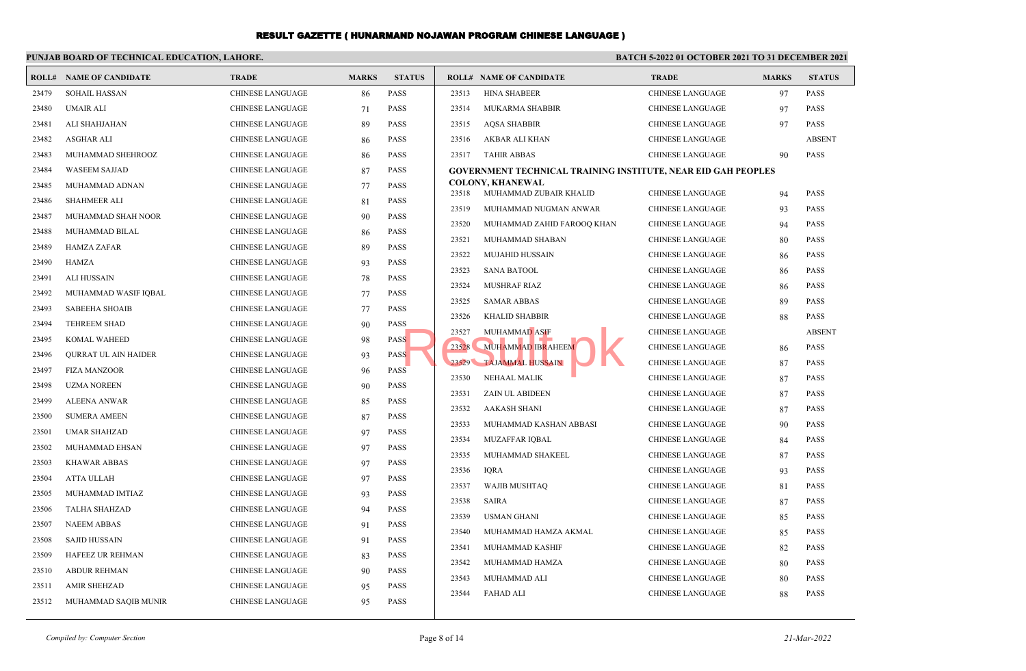|       | PUNJAB BOARD OF TECHNICAL EDUCATION, LAHORE. |                         |              |               | <b>BATCH 5-2022 01 OCTOBER 2021 TO 31 DECEMBER 2021</b> |                                                                      |                         |              |               |
|-------|----------------------------------------------|-------------------------|--------------|---------------|---------------------------------------------------------|----------------------------------------------------------------------|-------------------------|--------------|---------------|
| ROLL# | <b>NAME OF CANDIDATE</b>                     | <b>TRADE</b>            | <b>MARKS</b> | <b>STATUS</b> |                                                         | <b>ROLL# NAME OF CANDIDATE</b>                                       | <b>TRADE</b>            | <b>MARKS</b> | <b>STATUS</b> |
| 23479 | <b>SOHAIL HASSAN</b>                         | <b>CHINESE LANGUAGE</b> | 86           | PASS          | 23513                                                   | <b>HINA SHABEER</b>                                                  | <b>CHINESE LANGUAGE</b> | 97           | <b>PASS</b>   |
| 23480 | <b>UMAIR ALI</b>                             | <b>CHINESE LANGUAGE</b> | 71           | <b>PASS</b>   | 23514                                                   | <b>MUKARMA SHABBIR</b>                                               | <b>CHINESE LANGUAGE</b> | 97           | <b>PASS</b>   |
| 23481 | ALI SHAHJAHAN                                | <b>CHINESE LANGUAGE</b> | 89           | <b>PASS</b>   | 23515                                                   | <b>AOSA SHABBIR</b>                                                  | <b>CHINESE LANGUAGE</b> | 97           | <b>PASS</b>   |
| 23482 | <b>ASGHAR ALI</b>                            | <b>CHINESE LANGUAGE</b> | 86           | <b>PASS</b>   | 23516                                                   | AKBAR ALI KHAN                                                       | <b>CHINESE LANGUAGE</b> |              | <b>ABSENT</b> |
| 23483 | MUHAMMAD SHEHROOZ                            | <b>CHINESE LANGUAGE</b> | 86           | <b>PASS</b>   | 23517                                                   | <b>TAHIR ABBAS</b>                                                   | <b>CHINESE LANGUAGE</b> | 90           | <b>PASS</b>   |
| 23484 | <b>WASEEM SAJJAD</b>                         | <b>CHINESE LANGUAGE</b> | 87           | <b>PASS</b>   |                                                         | <b>GOVERNMENT TECHNICAL TRAINING INSTITUTE, NEAR EID GAH PEOPLES</b> |                         |              |               |
| 23485 | MUHAMMAD ADNAN                               | <b>CHINESE LANGUAGE</b> | 77           | PASS          |                                                         | <b>COLONY, KHANEWAL</b>                                              |                         |              |               |
| 23486 | <b>SHAHMEER ALI</b>                          | <b>CHINESE LANGUAGE</b> | 81           | PASS          | 23518                                                   | MUHAMMAD ZUBAIR KHALID                                               | <b>CHINESE LANGUAGE</b> | 94           | <b>PASS</b>   |
| 23487 | MUHAMMAD SHAH NOOR                           | <b>CHINESE LANGUAGE</b> | 90           | <b>PASS</b>   | 23519                                                   | MUHAMMAD NUGMAN ANWAR                                                | CHINESE LANGUAGE        | 93           | <b>PASS</b>   |
| 23488 | MUHAMMAD BILAL                               | <b>CHINESE LANGUAGE</b> | 86           | <b>PASS</b>   | 23520                                                   | MUHAMMAD ZAHID FAROOQ KHAN                                           | <b>CHINESE LANGUAGE</b> | 94           | <b>PASS</b>   |
| 23489 | HAMZA ZAFAR                                  | <b>CHINESE LANGUAGE</b> | 89           | <b>PASS</b>   | 23521                                                   | MUHAMMAD SHABAN                                                      | <b>CHINESE LANGUAGE</b> | 80           | <b>PASS</b>   |
| 23490 | HAMZA                                        | <b>CHINESE LANGUAGE</b> | 93           | <b>PASS</b>   | 23522                                                   | <b>MUJAHID HUSSAIN</b>                                               | <b>CHINESE LANGUAGE</b> | 86           | <b>PASS</b>   |
| 23491 | <b>ALI HUSSAIN</b>                           | <b>CHINESE LANGUAGE</b> | 78           | PASS          | 23523                                                   | <b>SANA BATOOL</b>                                                   | <b>CHINESE LANGUAGE</b> | 86           | <b>PASS</b>   |
| 23492 | MUHAMMAD WASIF IQBAL                         | <b>CHINESE LANGUAGE</b> | 77           | PASS          | 23524                                                   | <b>MUSHRAF RIAZ</b>                                                  | <b>CHINESE LANGUAGE</b> | 86           | <b>PASS</b>   |
| 23493 | <b>SABEEHA SHOAIB</b>                        | <b>CHINESE LANGUAGE</b> | 77           | <b>PASS</b>   | 23525                                                   | <b>SAMAR ABBAS</b>                                                   | <b>CHINESE LANGUAGE</b> | 89           | <b>PASS</b>   |
| 23494 | <b>TEHREEM SHAD</b>                          | <b>CHINESE LANGUAGE</b> | 90           | <b>PASS</b>   | 23526                                                   | <b>KHALID SHABBIR</b>                                                | <b>CHINESE LANGUAGE</b> | 88           | <b>PASS</b>   |
| 23495 | KOMAL WAHEED                                 | <b>CHINESE LANGUAGE</b> | 98           | <b>PASS</b>   | 23527                                                   | <b>MUHAMMAD ASIF</b>                                                 | <b>CHINESE LANGUAGE</b> |              | <b>ABSENT</b> |
| 23496 | <b>OURRAT UL AIN HAIDER</b>                  | <b>CHINESE LANGUAGE</b> | 93           | <b>PASS</b>   | 23528                                                   | MUHAMMAD IBRAHEEM                                                    | <b>CHINESE LANGUAGE</b> | -86          | <b>PASS</b>   |
| 23497 | <b>FIZA MANZOOR</b>                          | <b>CHINESE LANGUAGE</b> | 96           | PASS          | 23529                                                   | <b>TAJAMMAL HUSSAIN</b>                                              | <b>CHINESE LANGUAGE</b> | 87           | <b>PASS</b>   |
| 23498 | <b>UZMA NOREEN</b>                           | <b>CHINESE LANGUAGE</b> | 90           | PASS          | 23530                                                   | NEHAAL MALIK                                                         | <b>CHINESE LANGUAGE</b> | 87           | <b>PASS</b>   |
| 23499 | <b>ALEENA ANWAR</b>                          | <b>CHINESE LANGUAGE</b> | 85           | <b>PASS</b>   | 23531                                                   | ZAIN UL ABIDEEN                                                      | <b>CHINESE LANGUAGE</b> | 87           | <b>PASS</b>   |
| 23500 | <b>SUMERA AMEEN</b>                          | <b>CHINESE LANGUAGE</b> | 87           | PASS          | 23532                                                   | <b>AAKASH SHANI</b>                                                  | <b>CHINESE LANGUAGE</b> | 87           | <b>PASS</b>   |
| 23501 | <b>UMAR SHAHZAD</b>                          | <b>CHINESE LANGUAGE</b> | 97           | <b>PASS</b>   | 23533                                                   | MUHAMMAD KASHAN ABBASI                                               | <b>CHINESE LANGUAGE</b> | 90           | <b>PASS</b>   |
| 23502 | MUHAMMAD EHSAN                               | <b>CHINESE LANGUAGE</b> | 97           | <b>PASS</b>   | 23534                                                   | <b>MUZAFFAR IOBAL</b>                                                | <b>CHINESE LANGUAGE</b> | 84           | <b>PASS</b>   |
| 23503 | <b>KHAWAR ABBAS</b>                          | <b>CHINESE LANGUAGE</b> | 97           | <b>PASS</b>   | 23535                                                   | MUHAMMAD SHAKEEL                                                     | <b>CHINESE LANGUAGE</b> | 87           | <b>PASS</b>   |
| 23504 | <b>ATTA ULLAH</b>                            | <b>CHINESE LANGUAGE</b> | 97           | PASS          | 23536                                                   | <b>IQRA</b>                                                          | <b>CHINESE LANGUAGE</b> | 93           | <b>PASS</b>   |
| 23505 | MUHAMMAD IMTIAZ                              | <b>CHINESE LANGUAGE</b> | 93           | <b>PASS</b>   | 23537                                                   | <b>WAJIB MUSHTAQ</b>                                                 | <b>CHINESE LANGUAGE</b> | 81           | <b>PASS</b>   |
| 23506 | <b>TALHA SHAHZAD</b>                         | <b>CHINESE LANGUAGE</b> | 94           | PASS          | 23538                                                   | <b>SAIRA</b>                                                         | <b>CHINESE LANGUAGE</b> | 87           | <b>PASS</b>   |
| 23507 | <b>NAEEM ABBAS</b>                           | <b>CHINESE LANGUAGE</b> | 91           | <b>PASS</b>   | 23539                                                   | <b>USMAN GHANI</b>                                                   | <b>CHINESE LANGUAGE</b> | 85           | <b>PASS</b>   |
| 23508 | SAJID HUSSAIN                                | <b>CHINESE LANGUAGE</b> | 91           | <b>PASS</b>   | 23540                                                   | MUHAMMAD HAMZA AKMAL                                                 | <b>CHINESE LANGUAGE</b> | 85           | <b>PASS</b>   |
| 23509 | HAFEEZ UR REHMAN                             | <b>CHINESE LANGUAGE</b> | 83           | <b>PASS</b>   | 23541                                                   | MUHAMMAD KASHIF                                                      | <b>CHINESE LANGUAGE</b> | 82           | <b>PASS</b>   |
| 23510 | <b>ABDUR REHMAN</b>                          | CHINESE LANGUAGE        | 90           | PASS          | 23542                                                   | MUHAMMAD HAMZA                                                       | <b>CHINESE LANGUAGE</b> | 80           | <b>PASS</b>   |
| 23511 | <b>AMIR SHEHZAD</b>                          | <b>CHINESE LANGUAGE</b> | 95           | <b>PASS</b>   | 23543                                                   | MUHAMMAD ALI                                                         | <b>CHINESE LANGUAGE</b> | 80           | PASS          |
| 23512 | MUHAMMAD SAQIB MUNIR                         | <b>CHINESE LANGUAGE</b> | 95           | <b>PASS</b>   | 23544                                                   | <b>FAHAD ALI</b>                                                     | <b>CHINESE LANGUAGE</b> | 88           | <b>PASS</b>   |
|       |                                              |                         |              |               |                                                         |                                                                      |                         |              |               |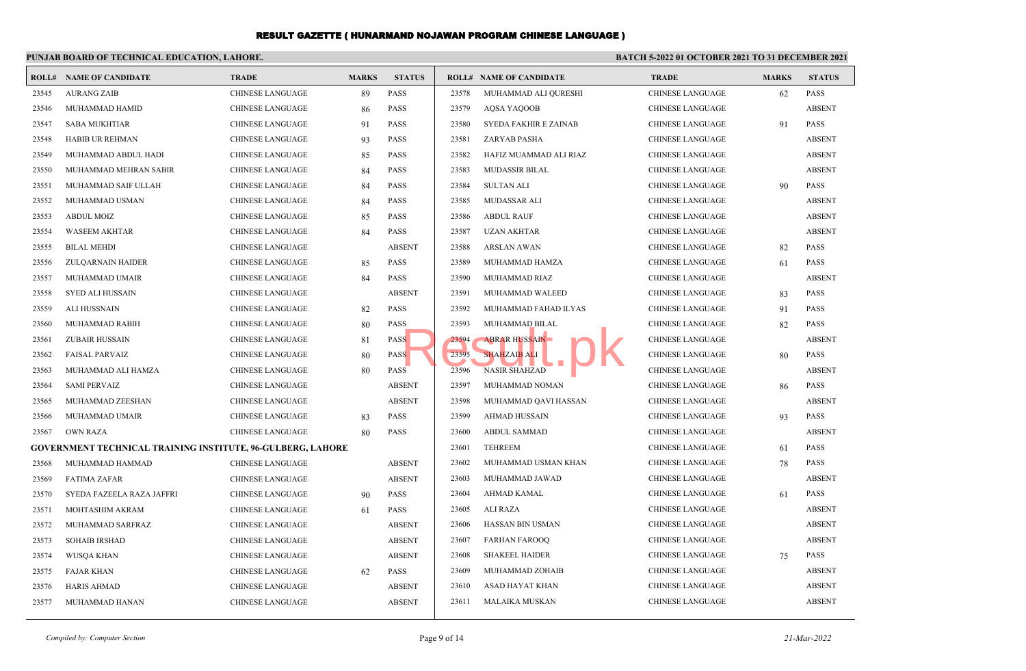|       | PUNJAB BOARD OF TECHNICAL EDUCATION, LAHORE.                       |                         |              |               | BATCH 5-2022 01 OCTOBER 2021 TO 31 DECEMBER 2021 |                                |                         |              |               |
|-------|--------------------------------------------------------------------|-------------------------|--------------|---------------|--------------------------------------------------|--------------------------------|-------------------------|--------------|---------------|
|       | <b>ROLL# NAME OF CANDIDATE</b>                                     | <b>TRADE</b>            | <b>MARKS</b> | <b>STATUS</b> |                                                  | <b>ROLL# NAME OF CANDIDATE</b> | <b>TRADE</b>            | <b>MARKS</b> | <b>STATUS</b> |
| 23545 | <b>AURANG ZAIB</b>                                                 | <b>CHINESE LANGUAGE</b> | 89           | <b>PASS</b>   | 23578                                            | MUHAMMAD ALI QURESHI           | CHINESE LANGUAGE        | 62           | <b>PASS</b>   |
| 23546 | MUHAMMAD HAMID                                                     | <b>CHINESE LANGUAGE</b> | 86           | <b>PASS</b>   | 23579                                            | AQSA YAQOOB                    | CHINESE LANGUAGE        |              | <b>ABSENT</b> |
| 23547 | <b>SABA MUKHTIAR</b>                                               | <b>CHINESE LANGUAGE</b> | 91           | <b>PASS</b>   | 23580                                            | <b>SYEDA FAKHIR E ZAINAB</b>   | <b>CHINESE LANGUAGE</b> | 91           | <b>PASS</b>   |
| 23548 | <b>HABIB UR REHMAN</b>                                             | <b>CHINESE LANGUAGE</b> | 93           | <b>PASS</b>   | 23581                                            | ZARYAB PASHA                   | <b>CHINESE LANGUAGE</b> |              | <b>ABSENT</b> |
| 23549 | MUHAMMAD ABDUL HADI                                                | <b>CHINESE LANGUAGE</b> | 85           | <b>PASS</b>   | 23582                                            | HAFIZ MUAMMAD ALI RIAZ         | CHINESE LANGUAGE        |              | <b>ABSENT</b> |
| 23550 | MUHAMMAD MEHRAN SABIR                                              | <b>CHINESE LANGUAGE</b> | 84           | <b>PASS</b>   | 23583                                            | <b>MUDASSIR BILAL</b>          | <b>CHINESE LANGUAGE</b> |              | <b>ABSENT</b> |
| 23551 | MUHAMMAD SAIF ULLAH                                                | <b>CHINESE LANGUAGE</b> | 84           | <b>PASS</b>   | 23584                                            | <b>SULTAN ALI</b>              | <b>CHINESE LANGUAGE</b> | 90           | <b>PASS</b>   |
| 23552 | MUHAMMAD USMAN                                                     | <b>CHINESE LANGUAGE</b> | 84           | <b>PASS</b>   | 23585                                            | <b>MUDASSAR ALI</b>            | <b>CHINESE LANGUAGE</b> |              | <b>ABSENT</b> |
| 23553 | <b>ABDUL MOIZ</b>                                                  | CHINESE LANGUAGE        | 85           | <b>PASS</b>   | 23586                                            | <b>ABDUL RAUF</b>              | <b>CHINESE LANGUAGE</b> |              | <b>ABSENT</b> |
| 23554 | <b>WASEEM AKHTAR</b>                                               | <b>CHINESE LANGUAGE</b> | 84           | <b>PASS</b>   | 23587                                            | <b>UZAN AKHTAR</b>             | <b>CHINESE LANGUAGE</b> |              | <b>ABSENT</b> |
| 23555 | <b>BILAL MEHDI</b>                                                 | <b>CHINESE LANGUAGE</b> |              | <b>ABSENT</b> | 23588                                            | <b>ARSLAN AWAN</b>             | <b>CHINESE LANGUAGE</b> | 82           | <b>PASS</b>   |
| 23556 | ZULQARNAIN HAIDER                                                  | <b>CHINESE LANGUAGE</b> | 85           | <b>PASS</b>   | 23589                                            | MUHAMMAD HAMZA                 | CHINESE LANGUAGE        | 61           | <b>PASS</b>   |
| 23557 | MUHAMMAD UMAIR                                                     | <b>CHINESE LANGUAGE</b> | 84           | <b>PASS</b>   | 23590                                            | MUHAMMAD RIAZ                  | <b>CHINESE LANGUAGE</b> |              | <b>ABSENT</b> |
| 23558 | <b>SYED ALI HUSSAIN</b>                                            | <b>CHINESE LANGUAGE</b> |              | <b>ABSENT</b> | 23591                                            | MUHAMMAD WALEED                | CHINESE LANGUAGE        | 83           | <b>PASS</b>   |
| 23559 | ALI HUSSNAIN                                                       | <b>CHINESE LANGUAGE</b> | 82           | <b>PASS</b>   | 23592                                            | MUHAMMAD FAHAD ILYAS           | CHINESE LANGUAGE        | 91           | <b>PASS</b>   |
| 23560 | MUHAMMAD RABIH                                                     | <b>CHINESE LANGUAGE</b> | 80           | <b>PASS</b>   | 23593                                            | MUHAMMAD BILAL                 | CHINESE LANGUAGE        | 82           | <b>PASS</b>   |
| 23561 | <b>ZUBAIR HUSSAIN</b>                                              | <b>CHINESE LANGUAGE</b> | 81           | <b>PASS</b>   | 23594                                            | <b>ABRAR HUSSAIN</b>           | <b>CHINESE LANGUAGE</b> |              | <b>ABSENT</b> |
| 23562 | <b>FAISAL PARVAIZ</b>                                              | <b>CHINESE LANGUAGE</b> | 80           | <b>PASS</b>   | 23595                                            | <b>SHAHZAIB ALI</b>            | <b>CHINESE LANGUAGE</b> | 80           | <b>PASS</b>   |
| 23563 | MUHAMMAD ALI HAMZA                                                 | <b>CHINESE LANGUAGE</b> | 80           | <b>PASS</b>   | 23596                                            | <b>NASIR SHAHZAD</b>           | <b>CHINESE LANGUAGE</b> |              | <b>ABSENT</b> |
| 23564 | <b>SAMI PERVAIZ</b>                                                | <b>CHINESE LANGUAGE</b> |              | <b>ABSENT</b> | 23597                                            | MUHAMMAD NOMAN                 | <b>CHINESE LANGUAGE</b> | 86           | <b>PASS</b>   |
| 23565 | MUHAMMAD ZEESHAN                                                   | <b>CHINESE LANGUAGE</b> |              | <b>ABSENT</b> | 23598                                            | MUHAMMAD QAVI HASSAN           | <b>CHINESE LANGUAGE</b> |              | <b>ABSENT</b> |
| 23566 | MUHAMMAD UMAIR                                                     | CHINESE LANGUAGE        | 83           | <b>PASS</b>   | 23599                                            | AHMAD HUSSAIN                  | CHINESE LANGUAGE        | 93           | <b>PASS</b>   |
| 23567 | <b>OWN RAZA</b>                                                    | <b>CHINESE LANGUAGE</b> | 80           | <b>PASS</b>   | 23600                                            | <b>ABDUL SAMMAD</b>            | <b>CHINESE LANGUAGE</b> |              | <b>ABSENT</b> |
|       | <b>GOVERNMENT TECHNICAL TRAINING INSTITUTE, 96-GULBERG, LAHORE</b> |                         |              |               | 23601                                            | <b>TEHREEM</b>                 | <b>CHINESE LANGUAGE</b> | 61           | <b>PASS</b>   |
| 23568 | MUHAMMAD HAMMAD                                                    | <b>CHINESE LANGUAGE</b> |              | <b>ABSENT</b> | 23602                                            | MUHAMMAD USMAN KHAN            | <b>CHINESE LANGUAGE</b> | 78           | <b>PASS</b>   |
| 23569 | <b>FATIMA ZAFAR</b>                                                | <b>CHINESE LANGUAGE</b> |              | <b>ABSENT</b> | 23603                                            | MUHAMMAD JAWAD                 | CHINESE LANGUAGE        |              | <b>ABSENT</b> |
| 23570 | SYEDA FAZEELA RAZA JAFFRI                                          | <b>CHINESE LANGUAGE</b> | 90           | <b>PASS</b>   | 23604                                            | AHMAD KAMAL                    | CHINESE LANGUAGE        | 61           | <b>PASS</b>   |
| 23571 | MOHTASHIM AKRAM                                                    | CHINESE LANGUAGE        | 61           | <b>PASS</b>   | 23605                                            | <b>ALI RAZA</b>                | <b>CHINESE LANGUAGE</b> |              | <b>ABSENT</b> |
| 23572 | MUHAMMAD SARFRAZ                                                   | <b>CHINESE LANGUAGE</b> |              | <b>ABSENT</b> | 23606                                            | HASSAN BIN USMAN               | CHINESE LANGUAGE        |              | <b>ABSENT</b> |
| 23573 | <b>SOHAIB IRSHAD</b>                                               | <b>CHINESE LANGUAGE</b> |              | <b>ABSENT</b> | 23607                                            | <b>FARHAN FAROOQ</b>           | <b>CHINESE LANGUAGE</b> |              | <b>ABSENT</b> |
| 23574 | <b>WUSOA KHAN</b>                                                  | CHINESE LANGUAGE        |              | <b>ABSENT</b> | 23608                                            | <b>SHAKEEL HAIDER</b>          | CHINESE LANGUAGE        | 75           | <b>PASS</b>   |
| 23575 | <b>FAJAR KHAN</b>                                                  | <b>CHINESE LANGUAGE</b> | 62           | <b>PASS</b>   | 23609                                            | MUHAMMAD ZOHAIB                | <b>CHINESE LANGUAGE</b> |              | <b>ABSENT</b> |
| 23576 | <b>HARIS AHMAD</b>                                                 | <b>CHINESE LANGUAGE</b> |              | <b>ABSENT</b> | 23610                                            | <b>ASAD HAYAT KHAN</b>         | CHINESE LANGUAGE        |              | <b>ABSENT</b> |
| 23577 | MUHAMMAD HANAN                                                     | <b>CHINESE LANGUAGE</b> |              | <b>ABSENT</b> | 23611                                            | <b>MALAIKA MUSKAN</b>          | <b>CHINESE LANGUAGE</b> |              | <b>ABSENT</b> |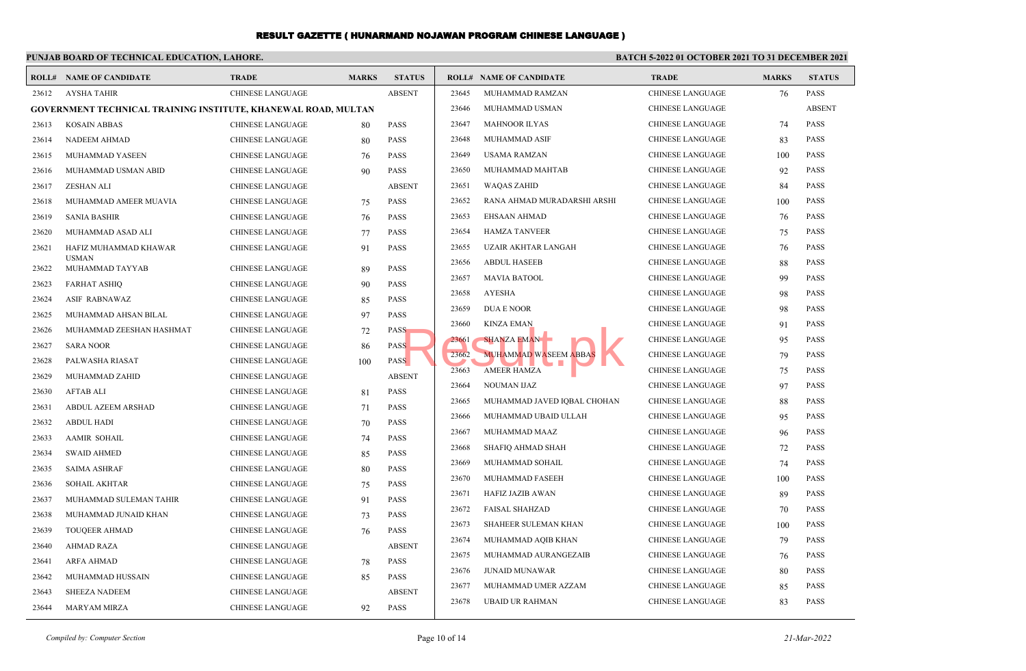|       | PUNJAB BOARD OF TECHNICAL EDUCATION, LAHORE.                   |                         |              |               | <b>BATCH 5-2022 01 OCTOBER 2021 TO 31 DECEMBER 2021</b> |                                |                         |              |               |  |
|-------|----------------------------------------------------------------|-------------------------|--------------|---------------|---------------------------------------------------------|--------------------------------|-------------------------|--------------|---------------|--|
|       | <b>ROLL# NAME OF CANDIDATE</b>                                 | <b>TRADE</b>            | <b>MARKS</b> | <b>STATUS</b> |                                                         | <b>ROLL# NAME OF CANDIDATE</b> | <b>TRADE</b>            | <b>MARKS</b> | <b>STATUS</b> |  |
| 23612 | AYSHA TAHIR                                                    | CHINESE LANGUAGE        |              | <b>ABSENT</b> | 23645                                                   | MUHAMMAD RAMZAN                | CHINESE LANGUAGE        | 76           | <b>PASS</b>   |  |
|       | GOVERNMENT TECHNICAL TRAINING INSTITUTE, KHANEWAL ROAD, MULTAN |                         |              |               | 23646                                                   | MUHAMMAD USMAN                 | <b>CHINESE LANGUAGE</b> |              | <b>ABSENT</b> |  |
| 23613 | <b>KOSAIN ABBAS</b>                                            | <b>CHINESE LANGUAGE</b> | 80           | <b>PASS</b>   | 23647                                                   | <b>MAHNOOR ILYAS</b>           | CHINESE LANGUAGE        | 74           | <b>PASS</b>   |  |
| 23614 | <b>NADEEM AHMAD</b>                                            | <b>CHINESE LANGUAGE</b> | 80           | <b>PASS</b>   | 23648                                                   | <b>MUHAMMAD ASIF</b>           | <b>CHINESE LANGUAGE</b> | 83           | <b>PASS</b>   |  |
| 23615 | MUHAMMAD YASEEN                                                | <b>CHINESE LANGUAGE</b> | 76           | <b>PASS</b>   | 23649                                                   | <b>USAMA RAMZAN</b>            | <b>CHINESE LANGUAGE</b> | 100          | <b>PASS</b>   |  |
| 23616 | MUHAMMAD USMAN ABID                                            | <b>CHINESE LANGUAGE</b> | 90           | <b>PASS</b>   | 23650                                                   | MUHAMMAD MAHTAB                | CHINESE LANGUAGE        | 92           | <b>PASS</b>   |  |
| 23617 | ZESHAN ALI                                                     | CHINESE LANGUAGE        |              | <b>ABSENT</b> | 23651                                                   | <b>WAQAS ZAHID</b>             | CHINESE LANGUAGE        | 84           | <b>PASS</b>   |  |
| 23618 | MUHAMMAD AMEER MUAVIA                                          | CHINESE LANGUAGE        | 75           | <b>PASS</b>   | 23652                                                   | RANA AHMAD MURADARSHI ARSHI    | CHINESE LANGUAGE        | 100          | <b>PASS</b>   |  |
| 23619 | SANIA BASHIR                                                   | <b>CHINESE LANGUAGE</b> | 76           | <b>PASS</b>   | 23653                                                   | EHSAAN AHMAD                   | <b>CHINESE LANGUAGE</b> | 76           | <b>PASS</b>   |  |
| 23620 | MUHAMMAD ASAD ALI                                              | <b>CHINESE LANGUAGE</b> | 77           | <b>PASS</b>   | 23654                                                   | <b>HAMZA TANVEER</b>           | CHINESE LANGUAGE        | 75           | <b>PASS</b>   |  |
| 23621 | HAFIZ MUHAMMAD KHAWAR                                          | CHINESE LANGUAGE        | 91           | <b>PASS</b>   | 23655                                                   | <b>UZAIR AKHTAR LANGAH</b>     | <b>CHINESE LANGUAGE</b> | 76           | <b>PASS</b>   |  |
| 23622 | <b>USMAN</b><br>MUHAMMAD TAYYAB                                | <b>CHINESE LANGUAGE</b> | 89           | <b>PASS</b>   | 23656                                                   | <b>ABDUL HASEEB</b>            | CHINESE LANGUAGE        | 88           | <b>PASS</b>   |  |
| 23623 | <b>FARHAT ASHIQ</b>                                            | <b>CHINESE LANGUAGE</b> | 90           | <b>PASS</b>   | 23657                                                   | <b>MAVIA BATOOL</b>            | <b>CHINESE LANGUAGE</b> | 99           | <b>PASS</b>   |  |
| 23624 | ASIF RABNAWAZ                                                  | <b>CHINESE LANGUAGE</b> | 85           | <b>PASS</b>   | 23658                                                   | <b>AYESHA</b>                  | CHINESE LANGUAGE        | 98           | <b>PASS</b>   |  |
| 23625 | MUHAMMAD AHSAN BILAL                                           | <b>CHINESE LANGUAGE</b> | 97           | PASS          | 23659                                                   | <b>DUA E NOOR</b>              | CHINESE LANGUAGE        | 98           | PASS          |  |
| 23626 | MUHAMMAD ZEESHAN HASHMAT                                       | CHINESE LANGUAGE        | 72           | <b>PASS</b>   | 23660                                                   | <b>KINZA EMAN</b>              | CHINESE LANGUAGE        | 91           | <b>PASS</b>   |  |
| 23627 | SARA NOOR                                                      | <b>CHINESE LANGUAGE</b> | 86           | <b>PASS</b>   | 23661                                                   | <b>SHANZA EMANE</b>            | CHINESE LANGUAGE        | 95           | <b>PASS</b>   |  |
| 23628 | PALWASHA RIASAT                                                | <b>CHINESE LANGUAGE</b> | 100          | <b>PASS</b>   | 23662                                                   | <b>MUHAMMAD WASEEM ABBAS</b>   | <b>CHINESE LANGUAGE</b> | 79           | <b>PASS</b>   |  |
| 23629 | MUHAMMAD ZAHID                                                 | <b>CHINESE LANGUAGE</b> |              | <b>ABSENT</b> | 23663                                                   | <b>AMEER HAMZA</b>             | CHINESE LANGUAGE        | 75           | <b>PASS</b>   |  |
| 23630 | <b>AFTAB ALI</b>                                               | <b>CHINESE LANGUAGE</b> | 81           | <b>PASS</b>   | 23664                                                   | <b>NOUMAN IJAZ</b>             | <b>CHINESE LANGUAGE</b> | 97           | <b>PASS</b>   |  |
| 23631 | ABDUL AZEEM ARSHAD                                             | <b>CHINESE LANGUAGE</b> | 71           | <b>PASS</b>   | 23665                                                   | MUHAMMAD JAVED IQBAL CHOHAN    | <b>CHINESE LANGUAGE</b> | 88           | <b>PASS</b>   |  |
| 23632 | <b>ABDUL HADI</b>                                              | <b>CHINESE LANGUAGE</b> | 70           | <b>PASS</b>   | 23666                                                   | MUHAMMAD UBAID ULLAH           | <b>CHINESE LANGUAGE</b> | 95           | <b>PASS</b>   |  |
| 23633 | <b>AAMIR SOHAIL</b>                                            | CHINESE LANGUAGE        | 74           | PASS          | 23667                                                   | MUHAMMAD MAAZ                  | <b>CHINESE LANGUAGE</b> | 96           | <b>PASS</b>   |  |
| 23634 | <b>SWAID AHMED</b>                                             | <b>CHINESE LANGUAGE</b> | 85           | <b>PASS</b>   | 23668                                                   | SHAFIQ AHMAD SHAH              | <b>CHINESE LANGUAGE</b> | 72           | <b>PASS</b>   |  |
| 23635 | <b>SAIMA ASHRAF</b>                                            | <b>CHINESE LANGUAGE</b> | 80           | <b>PASS</b>   | 23669                                                   | MUHAMMAD SOHAIL                | CHINESE LANGUAGE        | 74           | <b>PASS</b>   |  |
| 23636 | SOHAIL AKHTAR                                                  | <b>CHINESE LANGUAGE</b> | 75           | <b>PASS</b>   | 23670                                                   | MUHAMMAD FASEEH                | CHINESE LANGUAGE        | 100          | <b>PASS</b>   |  |
| 23637 | MUHAMMAD SULEMAN TAHIR                                         | <b>CHINESE LANGUAGE</b> | 91           | <b>PASS</b>   | 23671                                                   | <b>HAFIZ JAZIB AWAN</b>        | <b>CHINESE LANGUAGE</b> | 89           | <b>PASS</b>   |  |
| 23638 | MUHAMMAD JUNAID KHAN                                           | <b>CHINESE LANGUAGE</b> | 73           | PASS          | 23672                                                   | <b>FAISAL SHAHZAD</b>          | CHINESE LANGUAGE        | 70           | <b>PASS</b>   |  |
| 23639 | <b>TOUQEER AHMAD</b>                                           | <b>CHINESE LANGUAGE</b> | 76           | <b>PASS</b>   | 23673                                                   | SHAHEER SULEMAN KHAN           | CHINESE LANGUAGE        | 100          | <b>PASS</b>   |  |
| 23640 | <b>AHMAD RAZA</b>                                              | <b>CHINESE LANGUAGE</b> |              | <b>ABSENT</b> | 23674                                                   | MUHAMMAD AQIB KHAN             | <b>CHINESE LANGUAGE</b> | 79           | <b>PASS</b>   |  |
| 23641 | <b>ARFA AHMAD</b>                                              | <b>CHINESE LANGUAGE</b> | 78           | <b>PASS</b>   | 23675                                                   | MUHAMMAD AURANGEZAIB           | <b>CHINESE LANGUAGE</b> | 76           | <b>PASS</b>   |  |
| 23642 | MUHAMMAD HUSSAIN                                               | CHINESE LANGUAGE        |              | <b>PASS</b>   | 23676                                                   | <b>JUNAID MUNAWAR</b>          | CHINESE LANGUAGE        | 80           | <b>PASS</b>   |  |
| 23643 | <b>SHEEZA NADEEM</b>                                           | <b>CHINESE LANGUAGE</b> | 85           | <b>ABSENT</b> | 23677                                                   | MUHAMMAD UMER AZZAM            | <b>CHINESE LANGUAGE</b> | 85           | <b>PASS</b>   |  |
| 23644 | MARYAM MIRZA                                                   | <b>CHINESE LANGUAGE</b> | 92           | <b>PASS</b>   | 23678                                                   | <b>UBAID UR RAHMAN</b>         | <b>CHINESE LANGUAGE</b> | 83           | <b>PASS</b>   |  |
|       |                                                                |                         |              |               |                                                         |                                |                         |              |               |  |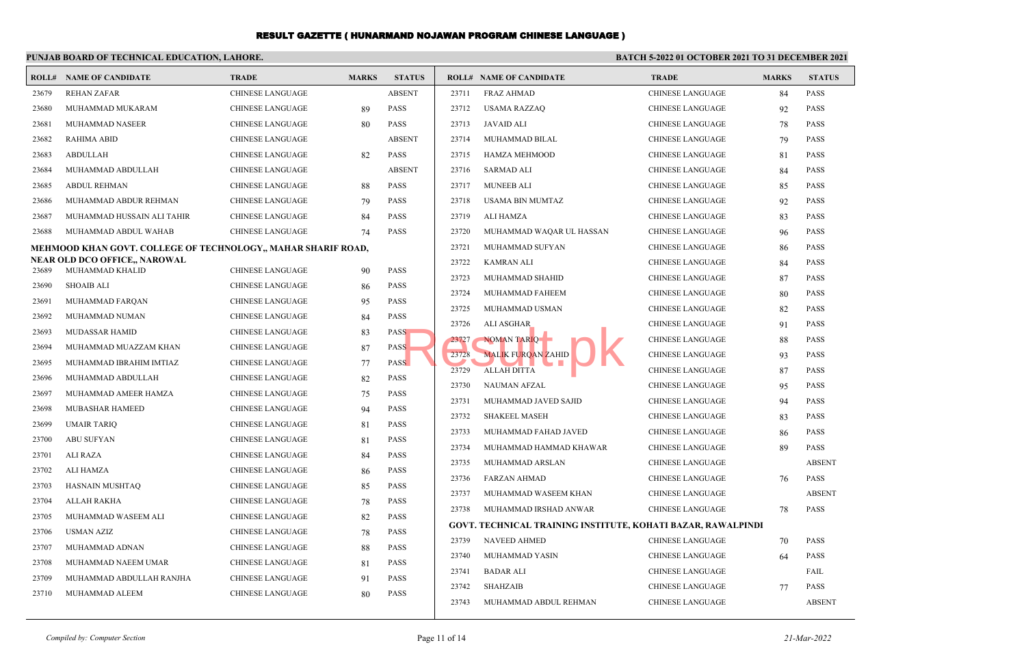|                | PUNJAB BOARD OF TECHNICAL EDUCATION, LAHORE.                  |                                                    |              | BATCH 5-2022 01 OCTOBER 2021 TO 31 DECEMBER 2021 |       |                                                                     |                         |              |               |
|----------------|---------------------------------------------------------------|----------------------------------------------------|--------------|--------------------------------------------------|-------|---------------------------------------------------------------------|-------------------------|--------------|---------------|
|                | <b>ROLL# NAME OF CANDIDATE</b>                                | <b>TRADE</b>                                       | <b>MARKS</b> | <b>STATUS</b>                                    |       | <b>ROLL# NAME OF CANDIDATE</b>                                      | <b>TRADE</b>            | <b>MARKS</b> | <b>STATUS</b> |
| 23679          | <b>REHAN ZAFAR</b>                                            | CHINESE LANGUAGE                                   |              | <b>ABSENT</b>                                    | 23711 | <b>FRAZ AHMAD</b>                                                   | CHINESE LANGUAGE        | 84           | <b>PASS</b>   |
| 23680          | MUHAMMAD MUKARAM                                              | CHINESE LANGUAGE                                   | 89           | <b>PASS</b>                                      | 23712 | USAMA RAZZAQ                                                        | CHINESE LANGUAGE        | 92           | <b>PASS</b>   |
| 23681          | MUHAMMAD NASEER                                               | <b>CHINESE LANGUAGE</b>                            | 80           | <b>PASS</b>                                      | 23713 | JAVAID ALI                                                          | <b>CHINESE LANGUAGE</b> | 78           | <b>PASS</b>   |
| 23682          | <b>RAHIMA ABID</b>                                            | <b>CHINESE LANGUAGE</b>                            |              | <b>ABSENT</b>                                    | 23714 | MUHAMMAD BILAL                                                      | <b>CHINESE LANGUAGE</b> | 79           | <b>PASS</b>   |
| 23683          | <b>ABDULLAH</b>                                               | CHINESE LANGUAGE                                   | 82           | <b>PASS</b>                                      | 23715 | HAMZA MEHMOOD                                                       | CHINESE LANGUAGE        | 81           | <b>PASS</b>   |
| 23684          | MUHAMMAD ABDULLAH                                             | <b>CHINESE LANGUAGE</b>                            |              | <b>ABSENT</b>                                    | 23716 | SARMAD ALI                                                          | <b>CHINESE LANGUAGE</b> | 84           | <b>PASS</b>   |
| 23685          | <b>ABDUL REHMAN</b>                                           | <b>CHINESE LANGUAGE</b>                            | 88           | <b>PASS</b>                                      | 23717 | <b>MUNEEB ALI</b>                                                   | CHINESE LANGUAGE        | 85           | <b>PASS</b>   |
| 23686          | MUHAMMAD ABDUR REHMAN                                         | <b>CHINESE LANGUAGE</b>                            | 79           | <b>PASS</b>                                      | 23718 | <b>USAMA BIN MUMTAZ</b>                                             | <b>CHINESE LANGUAGE</b> | 92           | <b>PASS</b>   |
| 23687          | MUHAMMAD HUSSAIN ALI TAHIR                                    | <b>CHINESE LANGUAGE</b>                            | 84           | PASS                                             | 23719 | ALI HAMZA                                                           | CHINESE LANGUAGE        | 83           | <b>PASS</b>   |
| 23688          | MUHAMMAD ABDUL WAHAB                                          | <b>CHINESE LANGUAGE</b>                            | 74           | <b>PASS</b>                                      | 23720 | MUHAMMAD WAQAR UL HASSAN                                            | <b>CHINESE LANGUAGE</b> | 96           | <b>PASS</b>   |
|                | MEHMOOD KHAN GOVT. COLLEGE OF TECHNOLOGY,, MAHAR SHARIF ROAD, |                                                    |              |                                                  | 23721 | MUHAMMAD SUFYAN                                                     | <b>CHINESE LANGUAGE</b> | 86           | <b>PASS</b>   |
| 23689          | NEAR OLD DCO OFFICE., NAROWAL<br>MUHAMMAD KHALID              | CHINESE LANGUAGE                                   |              | <b>PASS</b>                                      | 23722 | <b>KAMRAN ALI</b>                                                   | CHINESE LANGUAGE        | 84           | <b>PASS</b>   |
|                |                                                               |                                                    | 90           | <b>PASS</b>                                      | 23723 | MUHAMMAD SHAHID                                                     | <b>CHINESE LANGUAGE</b> | 87           | PASS          |
| 23690<br>23691 | <b>SHOAIB ALI</b>                                             | <b>CHINESE LANGUAGE</b>                            | 86           | <b>PASS</b>                                      | 23724 | MUHAMMAD FAHEEM                                                     | CHINESE LANGUAGE        | 80           | <b>PASS</b>   |
| 23692          | MUHAMMAD FARQAN<br>MUHAMMAD NUMAN                             | CHINESE LANGUAGE<br><b>CHINESE LANGUAGE</b>        | 95           | PASS                                             | 23725 | MUHAMMAD USMAN                                                      | <b>CHINESE LANGUAGE</b> | 82           | <b>PASS</b>   |
|                |                                                               |                                                    | 84           | <b>PASS</b>                                      | 23726 | ALI ASGHAR                                                          | CHINESE LANGUAGE        | 91           | <b>PASS</b>   |
| 23693<br>23694 | MUDASSAR HAMID<br>MUHAMMAD MUAZZAM KHAN                       | <b>CHINESE LANGUAGE</b><br><b>CHINESE LANGUAGE</b> | 83           | <b>PASS</b>                                      | 23727 | NOMAN TARIQ                                                         | <b>CHINESE LANGUAGE</b> | 88           | <b>PASS</b>   |
|                |                                                               |                                                    | 87           |                                                  | 23728 | <b>MALIK FUROAN ZAHID</b>                                           | <b>CHINESE LANGUAGE</b> | 93           | PASS          |
| 23695          | MUHAMMAD IBRAHIM IMTIAZ                                       | <b>CHINESE LANGUAGE</b>                            | 77           | <b>PASS</b><br><b>PASS</b>                       | 23729 | <b>ALLAH DITTA</b>                                                  | CHINESE LANGUAGE        | 87           | <b>PASS</b>   |
| 23696          | MUHAMMAD ABDULLAH                                             | CHINESE LANGUAGE                                   | 82           |                                                  | 23730 | <b>NAUMAN AFZAL</b>                                                 | <b>CHINESE LANGUAGE</b> | 95           | <b>PASS</b>   |
| 23697          | MUHAMMAD AMEER HAMZA                                          | CHINESE LANGUAGE                                   | 75           | <b>PASS</b><br><b>PASS</b>                       | 23731 | MUHAMMAD JAVED SAJID                                                | <b>CHINESE LANGUAGE</b> | 94           | <b>PASS</b>   |
| 23698          | MUBASHAR HAMEED                                               | <b>CHINESE LANGUAGE</b>                            | 94           |                                                  | 23732 | <b>SHAKEEL MASEH</b>                                                | <b>CHINESE LANGUAGE</b> | 83           | <b>PASS</b>   |
| 23699          | <b>UMAIR TARIO</b>                                            | <b>CHINESE LANGUAGE</b>                            | 81           | <b>PASS</b>                                      | 23733 | MUHAMMAD FAHAD JAVED                                                | CHINESE LANGUAGE        | 86           | <b>PASS</b>   |
| 23700          | <b>ABU SUFYAN</b>                                             | <b>CHINESE LANGUAGE</b>                            | 81           | PASS                                             | 23734 | MUHAMMAD HAMMAD KHAWAR                                              | CHINESE LANGUAGE        | 89           | <b>PASS</b>   |
| 23701          | <b>ALI RAZA</b>                                               | <b>CHINESE LANGUAGE</b>                            | 84           | PASS                                             | 23735 | MUHAMMAD ARSLAN                                                     | <b>CHINESE LANGUAGE</b> |              | <b>ABSENT</b> |
| 23702          | ALI HAMZA                                                     | <b>CHINESE LANGUAGE</b>                            | 86           | <b>PASS</b>                                      | 23736 | <b>FARZAN AHMAD</b>                                                 | <b>CHINESE LANGUAGE</b> | 76           | <b>PASS</b>   |
| 23703          | HASNAIN MUSHTAQ                                               | CHINESE LANGUAGE                                   | 85           | <b>PASS</b>                                      | 23737 | MUHAMMAD WASEEM KHAN                                                | <b>CHINESE LANGUAGE</b> |              | <b>ABSENT</b> |
| 23704          | ALLAH RAKHA                                                   | <b>CHINESE LANGUAGE</b>                            | 78           | <b>PASS</b>                                      | 23738 | MUHAMMAD IRSHAD ANWAR                                               | CHINESE LANGUAGE        | 78           | <b>PASS</b>   |
| 23705          | MUHAMMAD WASEEM ALI                                           | <b>CHINESE LANGUAGE</b>                            | 82           | <b>PASS</b>                                      |       | <b>GOVT. TECHNICAL TRAINING INSTITUTE, KOHATI BAZAR, RAWALPINDI</b> |                         |              |               |
| 23706          | <b>USMAN AZIZ</b>                                             | <b>CHINESE LANGUAGE</b>                            | 78           | <b>PASS</b>                                      | 23739 | <b>NAVEED AHMED</b>                                                 | CHINESE LANGUAGE        | 70           | <b>PASS</b>   |
| 23707          | MUHAMMAD ADNAN                                                | CHINESE LANGUAGE                                   | 88           | <b>PASS</b>                                      | 23740 | MUHAMMAD YASIN                                                      | <b>CHINESE LANGUAGE</b> | 64           | PASS          |
| 23708          | MUHAMMAD NAEEM UMAR                                           | CHINESE LANGUAGE                                   | 81           | <b>PASS</b>                                      | 23741 | <b>BADAR ALI</b>                                                    | <b>CHINESE LANGUAGE</b> |              | FAIL          |
| 23709          | MUHAMMAD ABDULLAH RANJHA                                      | CHINESE LANGUAGE                                   | 91           | <b>PASS</b>                                      | 23742 | <b>SHAHZAIB</b>                                                     | <b>CHINESE LANGUAGE</b> | 77           | <b>PASS</b>   |
| 23710          | MUHAMMAD ALEEM                                                | <b>CHINESE LANGUAGE</b>                            | 80           | <b>PASS</b>                                      | 23743 | MUHAMMAD ABDUL REHMAN                                               | <b>CHINESE LANGUAGE</b> |              | <b>ABSENT</b> |
|                |                                                               |                                                    |              |                                                  |       |                                                                     |                         |              |               |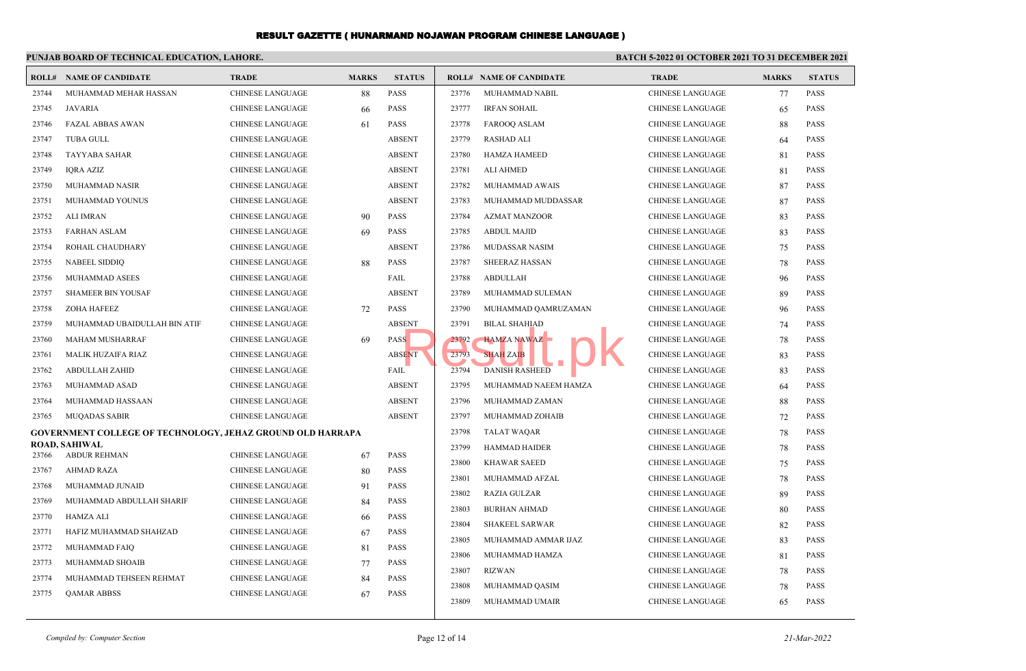|       | PUNJAB BOARD OF TECHNICAL EDUCATION, LAHORE.               |                         |              | BATCH 5-2022 01 OCTOBER 2021 TO 31 DECEMBER 2021 |       |                                |                         |              |               |
|-------|------------------------------------------------------------|-------------------------|--------------|--------------------------------------------------|-------|--------------------------------|-------------------------|--------------|---------------|
|       | <b>ROLL# NAME OF CANDIDATE</b>                             | <b>TRADE</b>            | <b>MARKS</b> | <b>STATUS</b>                                    |       | <b>ROLL# NAME OF CANDIDATE</b> | <b>TRADE</b>            | <b>MARKS</b> | <b>STATUS</b> |
| 23744 | MUHAMMAD MEHAR HASSAN                                      | <b>CHINESE LANGUAGE</b> | 88           | <b>PASS</b>                                      | 23776 | MUHAMMAD NABIL                 | <b>CHINESE LANGUAGE</b> | 77           | <b>PASS</b>   |
| 23745 | JAVARIA                                                    | <b>CHINESE LANGUAGE</b> | 66           | <b>PASS</b>                                      | 23777 | <b>IRFAN SOHAIL</b>            | <b>CHINESE LANGUAGE</b> | 65           | PASS          |
| 23746 | <b>FAZAL ABBAS AWAN</b>                                    | CHINESE LANGUAGE        | 61           | <b>PASS</b>                                      | 23778 | <b>FAROOQ ASLAM</b>            | <b>CHINESE LANGUAGE</b> | 88           | PASS          |
| 23747 | <b>TUBA GULL</b>                                           | <b>CHINESE LANGUAGE</b> |              | <b>ABSENT</b>                                    | 23779 | <b>RASHAD ALI</b>              | <b>CHINESE LANGUAGE</b> | 64           | <b>PASS</b>   |
| 23748 | <b>TAYYABA SAHAR</b>                                       | CHINESE LANGUAGE        |              | <b>ABSENT</b>                                    | 23780 | <b>HAMZA HAMEED</b>            | <b>CHINESE LANGUAGE</b> | 81           | <b>PASS</b>   |
| 23749 | IORA AZIZ                                                  | <b>CHINESE LANGUAGE</b> |              | <b>ABSENT</b>                                    | 23781 | <b>ALI AHMED</b>               | <b>CHINESE LANGUAGE</b> | 81           | <b>PASS</b>   |
| 23750 | MUHAMMAD NASIR                                             | <b>CHINESE LANGUAGE</b> |              | <b>ABSENT</b>                                    | 23782 | MUHAMMAD AWAIS                 | <b>CHINESE LANGUAGE</b> | 87           | PASS          |
| 23751 | MUHAMMAD YOUNUS                                            | <b>CHINESE LANGUAGE</b> |              | <b>ABSENT</b>                                    | 23783 | MUHAMMAD MUDDASSAR             | <b>CHINESE LANGUAGE</b> | 87           | <b>PASS</b>   |
| 23752 | ALI IMRAN                                                  | <b>CHINESE LANGUAGE</b> | 90           | <b>PASS</b>                                      | 23784 | <b>AZMAT MANZOOR</b>           | <b>CHINESE LANGUAGE</b> | 83           | PASS          |
| 23753 | FARHAN ASLAM                                               | <b>CHINESE LANGUAGE</b> | 69           | <b>PASS</b>                                      | 23785 | <b>ABDUL MAJID</b>             | <b>CHINESE LANGUAGE</b> | 83           | PASS          |
| 23754 | ROHAIL CHAUDHARY                                           | CHINESE LANGUAGE        |              | <b>ABSENT</b>                                    | 23786 | <b>MUDASSAR NASIM</b>          | <b>CHINESE LANGUAGE</b> | 75           | <b>PASS</b>   |
| 23755 | <b>NABEEL SIDDIO</b>                                       | <b>CHINESE LANGUAGE</b> | 88           | <b>PASS</b>                                      | 23787 | <b>SHEERAZ HASSAN</b>          | <b>CHINESE LANGUAGE</b> | 78           | <b>PASS</b>   |
| 23756 | MUHAMMAD ASEES                                             | <b>CHINESE LANGUAGE</b> |              | FAIL                                             | 23788 | <b>ABDULLAH</b>                | <b>CHINESE LANGUAGE</b> | 96           | <b>PASS</b>   |
| 23757 | <b>SHAMEER BIN YOUSAF</b>                                  | <b>CHINESE LANGUAGE</b> |              | <b>ABSENT</b>                                    | 23789 | MUHAMMAD SULEMAN               | <b>CHINESE LANGUAGE</b> | 89           | <b>PASS</b>   |
| 23758 | <b>ZOHA HAFEEZ</b>                                         | <b>CHINESE LANGUAGE</b> | 72           | <b>PASS</b>                                      | 23790 | MUHAMMAD QAMRUZAMAN            | <b>CHINESE LANGUAGE</b> | 96           | <b>PASS</b>   |
| 23759 | MUHAMMAD UBAIDULLAH BIN ATIF                               | <b>CHINESE LANGUAGE</b> |              | <b>ABSENT</b>                                    | 23791 | <b>BILAL SHAHIAD</b>           | <b>CHINESE LANGUAGE</b> | 74           | <b>PASS</b>   |
| 23760 | MAHAM MUSHARRAF                                            | CHINESE LANGUAGE        | 69           | <b>PASS</b>                                      | 23792 | HAMZA NAWAZ                    | <b>CHINESE LANGUAGE</b> | 78           | <b>PASS</b>   |
| 23761 | MALIK HUZAIFA RIAZ                                         | <b>CHINESE LANGUAGE</b> |              | <b>ABSENT</b>                                    | 23793 | <b>SHAH ZAIB</b>               | <b>CHINESE LANGUAGE</b> | 83           | <b>PASS</b>   |
| 23762 | <b>ABDULLAH ZAHID</b>                                      | <b>CHINESE LANGUAGE</b> |              | FAIL                                             | 23794 | <b>DANISH RASHEED</b>          | <b>CHINESE LANGUAGE</b> | 83           | <b>PASS</b>   |
| 23763 | MUHAMMAD ASAD                                              | <b>CHINESE LANGUAGE</b> |              | <b>ABSENT</b>                                    | 23795 | MUHAMMAD NAEEM HAMZA           | <b>CHINESE LANGUAGE</b> | 64           | <b>PASS</b>   |
| 23764 | MUHAMMAD HASSAAN                                           | <b>CHINESE LANGUAGE</b> |              | <b>ABSENT</b>                                    | 23796 | MUHAMMAD ZAMAN                 | <b>CHINESE LANGUAGE</b> | 88           | <b>PASS</b>   |
| 23765 | <b>MUQADAS SABIR</b>                                       | CHINESE LANGUAGE        |              | <b>ABSENT</b>                                    | 23797 | MUHAMMAD ZOHAIB                | <b>CHINESE LANGUAGE</b> | 72           | <b>PASS</b>   |
|       | GOVERNMENT COLLEGE OF TECHNOLOGY, JEHAZ GROUND OLD HARRAPA |                         |              |                                                  | 23798 | <b>TALAT WAQAR</b>             | <b>CHINESE LANGUAGE</b> | 78           | <b>PASS</b>   |
|       | <b>ROAD, SAHIWAL</b>                                       |                         |              |                                                  | 23799 | <b>HAMMAD HAIDER</b>           | <b>CHINESE LANGUAGE</b> | 78           | <b>PASS</b>   |
| 23766 | <b>ABDUR REHMAN</b>                                        | <b>CHINESE LANGUAGE</b> | 67           | <b>PASS</b>                                      | 23800 | <b>KHAWAR SAEED</b>            | <b>CHINESE LANGUAGE</b> | 75           | <b>PASS</b>   |
| 23767 | <b>AHMAD RAZA</b>                                          | CHINESE LANGUAGE        | 80           | <b>PASS</b>                                      | 23801 | MUHAMMAD AFZAL                 | <b>CHINESE LANGUAGE</b> | 78           | <b>PASS</b>   |
| 23768 | MUHAMMAD JUNAID                                            | <b>CHINESE LANGUAGE</b> | 91           | <b>PASS</b>                                      | 23802 | <b>RAZIA GULZAR</b>            | <b>CHINESE LANGUAGE</b> | 89           | <b>PASS</b>   |
| 23769 | MUHAMMAD ABDULLAH SHARIF                                   | CHINESE LANGUAGE        | 84           | <b>PASS</b>                                      | 23803 | <b>BURHAN AHMAD</b>            | <b>CHINESE LANGUAGE</b> | 80           | <b>PASS</b>   |
| 23770 | HAMZA ALI                                                  | <b>CHINESE LANGUAGE</b> | 66           | <b>PASS</b>                                      | 23804 | <b>SHAKEEL SARWAR</b>          | <b>CHINESE LANGUAGE</b> | 82           | <b>PASS</b>   |
| 23771 | HAFIZ MUHAMMAD SHAHZAD                                     | <b>CHINESE LANGUAGE</b> | 67           | <b>PASS</b>                                      | 23805 | MUHAMMAD AMMAR IJAZ            | <b>CHINESE LANGUAGE</b> | 83           | <b>PASS</b>   |
| 23772 | MUHAMMAD FAIQ                                              | <b>CHINESE LANGUAGE</b> | 81           | <b>PASS</b>                                      | 23806 | MUHAMMAD HAMZA                 | <b>CHINESE LANGUAGE</b> | 81           | PASS          |
| 23773 | MUHAMMAD SHOAIB                                            | <b>CHINESE LANGUAGE</b> | 77           | <b>PASS</b>                                      | 23807 | <b>RIZWAN</b>                  | <b>CHINESE LANGUAGE</b> | 78           | PASS          |
| 23774 | MUHAMMAD TEHSEEN REHMAT                                    | <b>CHINESE LANGUAGE</b> | 84           | PASS                                             | 23808 | MUHAMMAD QASIM                 | <b>CHINESE LANGUAGE</b> | 78           | <b>PASS</b>   |
| 23775 | <b>QAMAR ABBSS</b>                                         | CHINESE LANGUAGE        | 67           | <b>PASS</b>                                      | 23809 | MUHAMMAD UMAIR                 | CHINESE LANGUAGE        | 65           | <b>PASS</b>   |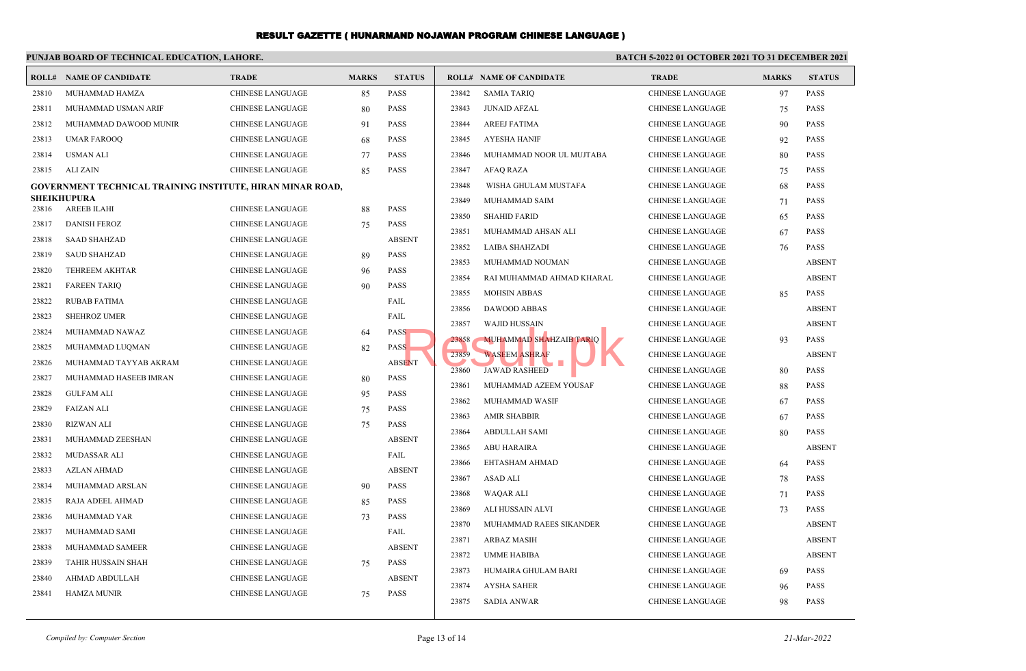|       | PUNJAB BOARD OF TECHNICAL EDUCATION, LAHORE.                      |                         |              |               | BATCH 5-2022 01 OCTOBER 2021 TO 31 DECEMBER 2021 |                                |                         |              |               |  |
|-------|-------------------------------------------------------------------|-------------------------|--------------|---------------|--------------------------------------------------|--------------------------------|-------------------------|--------------|---------------|--|
|       | <b>ROLL# NAME OF CANDIDATE</b>                                    | <b>TRADE</b>            | <b>MARKS</b> | <b>STATUS</b> |                                                  | <b>ROLL# NAME OF CANDIDATE</b> | <b>TRADE</b>            | <b>MARKS</b> | <b>STATUS</b> |  |
| 23810 | MUHAMMAD HAMZA                                                    | <b>CHINESE LANGUAGE</b> | 85           | <b>PASS</b>   | 23842                                            | <b>SAMIA TARIO</b>             | <b>CHINESE LANGUAGE</b> | 97           | <b>PASS</b>   |  |
| 23811 | MUHAMMAD USMAN ARIF                                               | <b>CHINESE LANGUAGE</b> | 80           | <b>PASS</b>   | 23843                                            | <b>JUNAID AFZAL</b>            | <b>CHINESE LANGUAGE</b> | 75           | <b>PASS</b>   |  |
| 23812 | MUHAMMAD DAWOOD MUNIR                                             | <b>CHINESE LANGUAGE</b> | 91           | <b>PASS</b>   | 23844                                            | <b>AREEJ FATIMA</b>            | <b>CHINESE LANGUAGE</b> | 90           | <b>PASS</b>   |  |
| 23813 | <b>UMAR FAROOQ</b>                                                | CHINESE LANGUAGE        | 68           | <b>PASS</b>   | 23845                                            | <b>AYESHA HANIF</b>            | CHINESE LANGUAGE        | 92           | <b>PASS</b>   |  |
| 23814 | <b>USMAN ALI</b>                                                  | <b>CHINESE LANGUAGE</b> | 77           | <b>PASS</b>   | 23846                                            | MUHAMMAD NOOR UL MUJTABA       | CHINESE LANGUAGE        | 80           | <b>PASS</b>   |  |
| 23815 | ALI ZAIN                                                          | <b>CHINESE LANGUAGE</b> | 85           | <b>PASS</b>   | 23847                                            | <b>AFAQ RAZA</b>               | CHINESE LANGUAGE        | 75           | <b>PASS</b>   |  |
|       | <b>GOVERNMENT TECHNICAL TRAINING INSTITUTE, HIRAN MINAR ROAD,</b> |                         |              |               | 23848                                            | WISHA GHULAM MUSTAFA           | <b>CHINESE LANGUAGE</b> | 68           | <b>PASS</b>   |  |
|       | <b>SHEIKHUPURA</b>                                                |                         |              |               | 23849                                            | MUHAMMAD SAIM                  | <b>CHINESE LANGUAGE</b> | 71           | <b>PASS</b>   |  |
| 23816 | AREEB ILAHI                                                       | <b>CHINESE LANGUAGE</b> | 88           | PASS          | 23850                                            | <b>SHAHID FARID</b>            | CHINESE LANGUAGE        | 65           | <b>PASS</b>   |  |
| 23817 | <b>DANISH FEROZ</b>                                               | <b>CHINESE LANGUAGE</b> | 75           | <b>PASS</b>   | 23851                                            | MUHAMMAD AHSAN ALI             | <b>CHINESE LANGUAGE</b> |              | <b>PASS</b>   |  |
| 23818 | <b>SAAD SHAHZAD</b>                                               | <b>CHINESE LANGUAGE</b> |              | <b>ABSENT</b> |                                                  |                                |                         | 67           |               |  |
| 23819 | <b>SAUD SHAHZAD</b>                                               | <b>CHINESE LANGUAGE</b> | 89           | <b>PASS</b>   | 23852                                            | <b>LAIBA SHAHZADI</b>          | <b>CHINESE LANGUAGE</b> | 76           | <b>PASS</b>   |  |
| 23820 | <b>TEHREEM AKHTAR</b>                                             | <b>CHINESE LANGUAGE</b> | 96           | <b>PASS</b>   | 23853                                            | MUHAMMAD NOUMAN                | <b>CHINESE LANGUAGE</b> |              | <b>ABSENT</b> |  |
| 23821 | <b>FAREEN TARIQ</b>                                               | <b>CHINESE LANGUAGE</b> | 90           | PASS          | 23854                                            | RAI MUHAMMAD AHMAD KHARAL      | CHINESE LANGUAGE        |              | <b>ABSENT</b> |  |
| 23822 | <b>RUBAB FATIMA</b>                                               | <b>CHINESE LANGUAGE</b> |              | FAIL          | 23855                                            | <b>MOHSIN ABBAS</b>            | CHINESE LANGUAGE        | 85           | <b>PASS</b>   |  |
| 23823 | <b>SHEHROZ UMER</b>                                               | <b>CHINESE LANGUAGE</b> |              | FAIL          | 23856                                            | <b>DAWOOD ABBAS</b>            | CHINESE LANGUAGE        |              | <b>ABSENT</b> |  |
| 23824 | MUHAMMAD NAWAZ                                                    | <b>CHINESE LANGUAGE</b> | 64           | <b>PASS</b>   | 23857                                            | <b>WAJID HUSSAIN</b>           | <b>CHINESE LANGUAGE</b> |              | <b>ABSENT</b> |  |
| 23825 | MUHAMMAD LUQMAN                                                   | <b>CHINESE LANGUAGE</b> | 82           | <b>PASS</b>   | 23858                                            | MUHAMMAD SHAHZAIB TARIQ        | <b>CHINESE LANGUAGE</b> | 93           | <b>PASS</b>   |  |
| 23826 | MUHAMMAD TAYYAB AKRAM                                             | <b>CHINESE LANGUAGE</b> |              | <b>ABSENT</b> | 23859                                            | <b>WASEEM ASHRAF</b>           | <b>CHINESE LANGUAGE</b> |              | <b>ABSENT</b> |  |
| 23827 | MUHAMMAD HASEEB IMRAN                                             | <b>CHINESE LANGUAGE</b> | 80           | <b>PASS</b>   | 23860                                            | <b>JAWAD RASHEED</b>           | <b>CHINESE LANGUAGE</b> | 80           | <b>PASS</b>   |  |
| 23828 | <b>GULFAM ALI</b>                                                 | <b>CHINESE LANGUAGE</b> | 95           | <b>PASS</b>   | 23861                                            | MUHAMMAD AZEEM YOUSAF          | <b>CHINESE LANGUAGE</b> | 88           | <b>PASS</b>   |  |
| 23829 | <b>FAIZAN ALI</b>                                                 | <b>CHINESE LANGUAGE</b> | 75           | <b>PASS</b>   | 23862                                            | MUHAMMAD WASIF                 | <b>CHINESE LANGUAGE</b> | 67           | <b>PASS</b>   |  |
| 23830 | <b>RIZWAN ALI</b>                                                 | <b>CHINESE LANGUAGE</b> | 75           | <b>PASS</b>   | 23863                                            | <b>AMIR SHABBIR</b>            | CHINESE LANGUAGE        | 67           | <b>PASS</b>   |  |
| 23831 | MUHAMMAD ZEESHAN                                                  | <b>CHINESE LANGUAGE</b> |              | <b>ABSENT</b> | 23864                                            | ABDULLAH SAMI                  | CHINESE LANGUAGE        | 80           | <b>PASS</b>   |  |
| 23832 | MUDASSAR ALI                                                      | <b>CHINESE LANGUAGE</b> |              | FAIL          | 23865                                            | <b>ABU HARAIRA</b>             | CHINESE LANGUAGE        |              | <b>ABSENT</b> |  |
| 23833 | <b>AZLAN AHMAD</b>                                                | <b>CHINESE LANGUAGE</b> |              | <b>ABSENT</b> | 23866                                            | EHTASHAM AHMAD                 | CHINESE LANGUAGE        | 64           | <b>PASS</b>   |  |
| 23834 | MUHAMMAD ARSLAN                                                   | <b>CHINESE LANGUAGE</b> | 90           | <b>PASS</b>   | 23867                                            | ASAD ALI                       | <b>CHINESE LANGUAGE</b> | 78           | <b>PASS</b>   |  |
| 23835 | RAJA ADEEL AHMAD                                                  | <b>CHINESE LANGUAGE</b> | 85           | <b>PASS</b>   | 23868                                            | WAQAR ALI                      | <b>CHINESE LANGUAGE</b> | 71           | <b>PASS</b>   |  |
| 23836 | MUHAMMAD YAR                                                      | <b>CHINESE LANGUAGE</b> | 73           | <b>PASS</b>   | 23869                                            | ALI HUSSAIN ALVI               | <b>CHINESE LANGUAGE</b> | 73           | <b>PASS</b>   |  |
| 23837 | MUHAMMAD SAMI                                                     | <b>CHINESE LANGUAGE</b> |              | FAIL          | 23870                                            | MUHAMMAD RAEES SIKANDER        | <b>CHINESE LANGUAGE</b> |              | <b>ABSENT</b> |  |
| 23838 | <b>MUHAMMAD SAMEER</b>                                            | <b>CHINESE LANGUAGE</b> |              | <b>ABSENT</b> | 23871                                            | <b>ARBAZ MASIH</b>             | <b>CHINESE LANGUAGE</b> |              | <b>ABSENT</b> |  |
| 23839 | TAHIR HUSSAIN SHAH                                                | <b>CHINESE LANGUAGE</b> | 75           | <b>PASS</b>   | 23872                                            | UMME HABIBA                    | CHINESE LANGUAGE        |              | <b>ABSENT</b> |  |
| 23840 | AHMAD ABDULLAH                                                    | <b>CHINESE LANGUAGE</b> |              | <b>ABSENT</b> | 23873                                            | HUMAIRA GHULAM BARI            | CHINESE LANGUAGE        | 69           | <b>PASS</b>   |  |
| 23841 | <b>HAMZA MUNIR</b>                                                | <b>CHINESE LANGUAGE</b> | 75           | <b>PASS</b>   | 23874                                            | <b>AYSHA SAHER</b>             | <b>CHINESE LANGUAGE</b> | 96           | <b>PASS</b>   |  |
|       |                                                                   |                         |              |               | 23875                                            | <b>SADIA ANWAR</b>             | <b>CHINESE LANGUAGE</b> | 98           | <b>PASS</b>   |  |